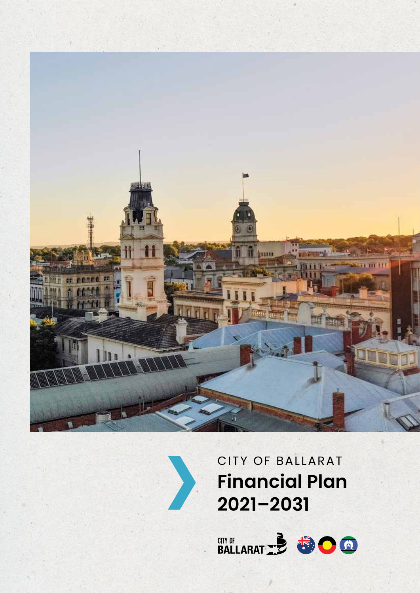



# CITY OF BALLARAT **Financial Plan 2021–2031**

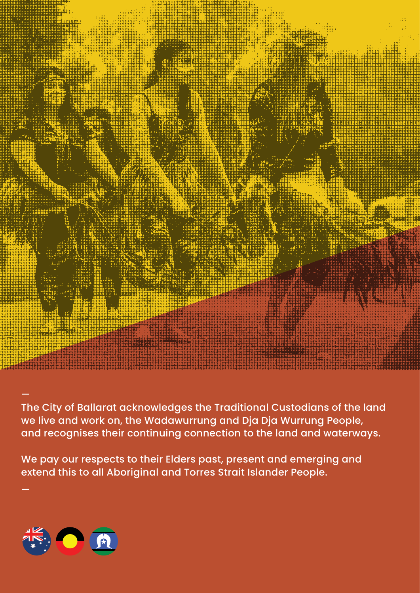

The City of Ballarat acknowledges the Traditional Custodians of the land we live and work on, the Wadawurrung and Dja Dja Wurrung People, and recognises their continuing connection to the land and waterways.

We pay our respects to their Elders past, present and emerging and extend this to all Aboriginal and Torres Strait Islander People.



—

—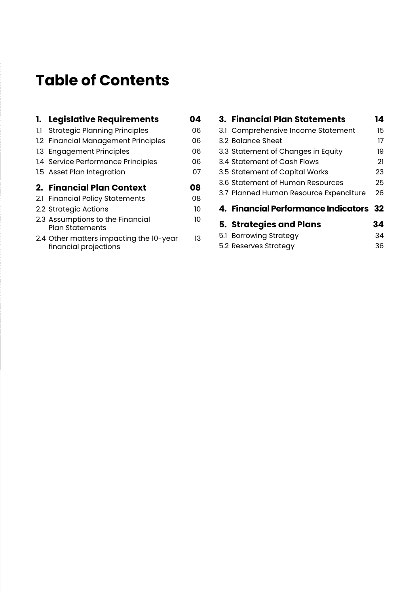# **Table of Contents**

|     | 1. Legislative Requirements                                | 04 |
|-----|------------------------------------------------------------|----|
| 1.1 | <b>Strategic Planning Principles</b>                       | იჩ |
|     | 1.2 Financial Management Principles                        | 06 |
|     | 1.3 Engagement Principles                                  | 06 |
|     | 1.4 Service Performance Principles                         | 06 |
|     | 1.5 Asset Plan Integration                                 | 07 |
|     |                                                            |    |
|     | 2. Financial Plan Context                                  | 08 |
|     | 2.1 Financial Policy Statements                            | 08 |
|     | 2.2 Strategic Actions                                      | 10 |
|     | 2.3 Assumptions to the Financial<br><b>Plan Statements</b> | 10 |

| 3. Financial Plan Statements           | 14 |
|----------------------------------------|----|
| 3.1 Comprehensive Income Statement     | 15 |
| 3.2 Balance Sheet                      | 17 |
| 3.3 Statement of Changes in Equity     | 19 |
| 3.4 Statement of Cash Flows            | 21 |
| 3.5 Statement of Capital Works         | 23 |
| 3.6 Statement of Human Resources       | 25 |
| 3.7 Planned Human Resource Expenditure | 26 |
| 4. Financial Performance Indicators 32 |    |
| <b>5. Strategies and Plans</b>         | 34 |
| 5.1 Borrowing Strategy                 | 34 |
| 5.2 Reserves Strategy                  | 36 |
|                                        |    |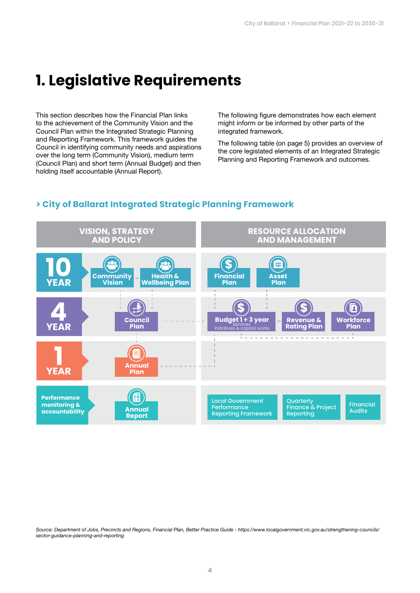# **1. Legislative Requirements**

This section describes how the Financial Plan links to the achievement of the Community Vision and the Council Plan within the Integrated Strategic Planning and Reporting Framework. This framework guides the Council in identifying community needs and aspirations over the long term (Community Vision), medium term (Council Plan) and short term (Annual Budget) and then holding itself accountable (Annual Report).

The following figure demonstrates how each element might inform or be informed by other parts of the integrated framework.

The following table (on page 5) provides an overview of the core legislated elements of an Integrated Strategic Planning and Reporting Framework and outcomes.

# **> City of Ballarat Integrated Strategic Planning Framework**



*Source: Department of Jobs, Precincts and Regions, Financial Plan, Better Practice Guide - https://www.localgovernment.vic.gov.au/strengthening-councils/ sector-guidance-planning-and-reporting*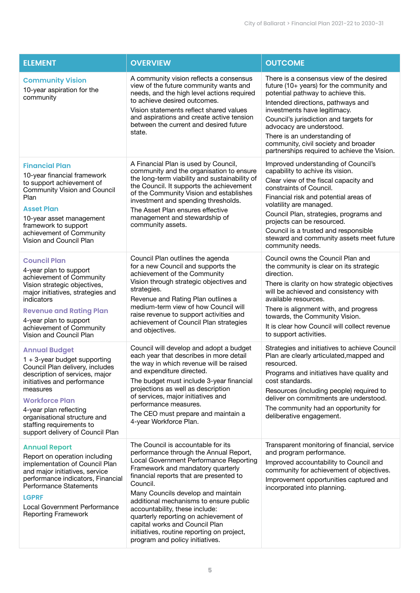| <b>ELEMENT</b>                                                                                                                                                                                                                                                                                                             | <b>OVERVIEW</b>                                                                                                                                                                                                                                                                                                                                                                                                                                                                                  | <b>OUTCOME</b>                                                                                                                                                                                                                                                                                                                                                                                  |  |  |  |
|----------------------------------------------------------------------------------------------------------------------------------------------------------------------------------------------------------------------------------------------------------------------------------------------------------------------------|--------------------------------------------------------------------------------------------------------------------------------------------------------------------------------------------------------------------------------------------------------------------------------------------------------------------------------------------------------------------------------------------------------------------------------------------------------------------------------------------------|-------------------------------------------------------------------------------------------------------------------------------------------------------------------------------------------------------------------------------------------------------------------------------------------------------------------------------------------------------------------------------------------------|--|--|--|
| <b>Community Vision</b><br>10-year aspiration for the<br>community                                                                                                                                                                                                                                                         | A community vision reflects a consensus<br>view of the future community wants and<br>needs, and the high level actions required<br>to achieve desired outcomes.<br>Vision statements reflect shared values<br>and aspirations and create active tension<br>between the current and desired future<br>state.                                                                                                                                                                                      | There is a consensus view of the desired<br>future (10+ years) for the community and<br>potential pathway to achieve this.<br>Intended directions, pathways and<br>investments have legitimacy.<br>Council's jurisdiction and targets for<br>advocacy are understood.<br>There is an understanding of<br>community, civil society and broader<br>partnerships required to achieve the Vision.   |  |  |  |
| <b>Financial Plan</b><br>10-year financial framework<br>to support achievement of<br><b>Community Vision and Council</b><br>Plan<br><b>Asset Plan</b><br>10-year asset management<br>framework to support<br>achievement of Community<br>Vision and Council Plan                                                           | A Financial Plan is used by Council,<br>community and the organisation to ensure<br>the long-term viability and sustainability of<br>the Council. It supports the achievement<br>of the Community Vision and establishes<br>investment and spending thresholds.<br>The Asset Plan ensures effective<br>management and stewardship of<br>community assets.                                                                                                                                        | Improved understanding of Council's<br>capability to achive its vision.<br>Clear view of the fiscal capacity and<br>constraints of Council.<br>Financial risk and potential areas of<br>volatility are managed.<br>Council Plan, strategies, programs and<br>projects can be resourced.<br>Council is a trusted and responsible<br>steward and community assets meet future<br>community needs. |  |  |  |
| <b>Council Plan</b><br>4-year plan to support<br>achievement of Community<br>Vision strategic objectives,<br>major initiatives, strategies and<br>indicators<br><b>Revenue and Rating Plan</b><br>4-year plan to support<br>achievement of Community<br>Vision and Council Plan                                            | Council Plan outlines the agenda<br>for a new Council and supports the<br>achievement of the Community<br>Vision through strategic objectives and<br>strategies.<br>Revenue and Rating Plan outlines a<br>medium-term view of how Council will<br>raise revenue to support activities and<br>achievement of Council Plan strategies<br>and objectives.                                                                                                                                           | Council owns the Council Plan and<br>the community is clear on its strategic<br>direction.<br>There is clarity on how strategic objectives<br>will be achieved and consistency with<br>available resources.<br>There is alignment with, and progress<br>towards, the Community Vision.<br>It is clear how Council will collect revenue<br>to support activities.                                |  |  |  |
| <b>Annual Budget</b><br>$1 + 3$ -year budget supporting<br>Council Plan delivery, includes<br>description of services, major<br>initiatives and performance<br>measures<br><b>Workforce Plan</b><br>4-year plan reflecting<br>organisational structure and<br>staffing requirements to<br>support delivery of Council Plan | Council will develop and adopt a budget<br>each year that describes in more detail<br>the way in which revenue will be raised<br>and expenditure directed.<br>The budget must include 3-year financial<br>projections as well as description<br>of services, major initiatives and<br>performance measures.<br>The CEO must prepare and maintain a<br>4-year Workforce Plan.                                                                                                                     | Strategies and initiatives to achieve Council<br>Plan are clearly articulated, mapped and<br>resourced.<br>Programs and initiatives have quality and<br>cost standards.<br>Resources (including people) required to<br>deliver on commitments are understood.<br>The community had an opportunity for<br>deliberative engagement.                                                               |  |  |  |
| <b>Annual Report</b><br>Report on operation including<br>implementation of Council Plan<br>and major initiatives, service<br>performance indicators, Financial<br><b>Performance Statements</b><br><b>LGPRF</b><br><b>Local Government Performance</b><br><b>Reporting Framework</b>                                       | The Council is accountable for its<br>performance through the Annual Report,<br>Local Government Performance Reporting<br>Framework and mandatory quarterly<br>financial reports that are presented to<br>Council.<br>Many Councils develop and maintain<br>additional mechanisms to ensure public<br>accountability, these include:<br>quarterly reporting on achievement of<br>capital works and Council Plan<br>initiatives, routine reporting on project,<br>program and policy initiatives. | Transparent monitoring of financial, service<br>and program performance.<br>Improved accountability to Council and<br>community for achievement of objectives.<br>Improvement opportunities captured and<br>incorporated into planning.                                                                                                                                                         |  |  |  |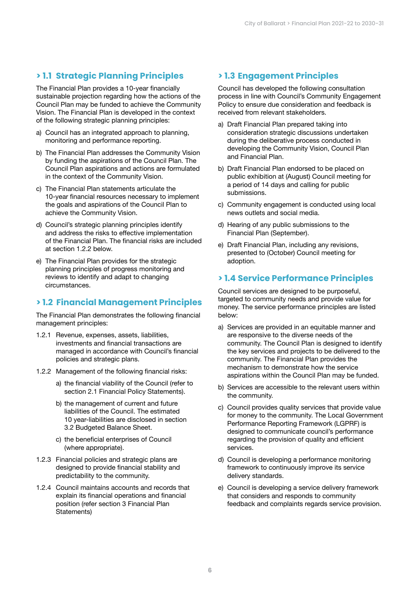# **> 1.1 Strategic Planning Principles**

The Financial Plan provides a 10-year financially sustainable projection regarding how the actions of the Council Plan may be funded to achieve the Community Vision. The Financial Plan is developed in the context of the following strategic planning principles:

- a) Council has an integrated approach to planning, monitoring and performance reporting.
- b) The Financial Plan addresses the Community Vision by funding the aspirations of the Council Plan. The Council Plan aspirations and actions are formulated in the context of the Community Vision.
- c) The Financial Plan statements articulate the 10-year financial resources necessary to implement the goals and aspirations of the Council Plan to achieve the Community Vision.
- d) Council's strategic planning principles identify and address the risks to effective implementation of the Financial Plan. The financial risks are included at section 1.2.2 below.
- e) The Financial Plan provides for the strategic planning principles of progress monitoring and reviews to identify and adapt to changing circumstances.

# **> 1.2 Financial Management Principles**

The Financial Plan demonstrates the following financial management principles:

- 1.2.1 Revenue, expenses, assets, liabilities, investments and financial transactions are managed in accordance with Council's financial policies and strategic plans.
- 1.2.2 Management of the following financial risks:
	- a) the financial viability of the Council (refer to section 2.1 Financial Policy Statements).
	- b) the management of current and future liabilities of the Council. The estimated 10 year-liabilities are disclosed in section 3.2 Budgeted Balance Sheet.
	- c) the beneficial enterprises of Council (where appropriate).
- 1.2.3 Financial policies and strategic plans are designed to provide financial stability and predictability to the community.
- 1.2.4 Council maintains accounts and records that explain its financial operations and financial position (refer section 3 Financial Plan Statements)

# **> 1.3 Engagement Principles**

Council has developed the following consultation process in line with Council's Community Engagement Policy to ensure due consideration and feedback is received from relevant stakeholders.

- a) Draft Financial Plan prepared taking into consideration strategic discussions undertaken during the deliberative process conducted in developing the Community Vision, Council Plan and Financial Plan.
- b) Draft Financial Plan endorsed to be placed on public exhibition at (August) Council meeting for a period of 14 days and calling for public submissions.
- c) Community engagement is conducted using local news outlets and social media.
- d) Hearing of any public submissions to the Financial Plan (September).
- e) Draft Financial Plan, including any revisions, presented to (October) Council meeting for adoption.

# **> 1.4 Service Performance Principles**

Council services are designed to be purposeful, targeted to community needs and provide value for money. The service performance principles are listed below:

- a) Services are provided in an equitable manner and are responsive to the diverse needs of the community. The Council Plan is designed to identify the key services and projects to be delivered to the community. The Financial Plan provides the mechanism to demonstrate how the service aspirations within the Council Plan may be funded.
- b) Services are accessible to the relevant users within the community.
- c) Council provides quality services that provide value for money to the community. The Local Government Performance Reporting Framework (LGPRF) is designed to communicate council's performance regarding the provision of quality and efficient services.
- d) Council is developing a performance monitoring framework to continuously improve its service delivery standards.
- e) Council is developing a service delivery framework that considers and responds to community feedback and complaints regards service provision.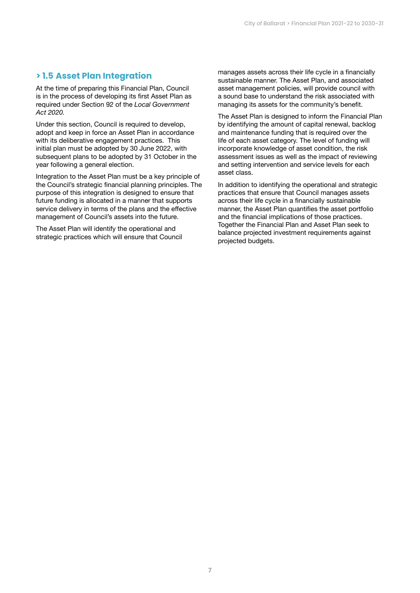# **> 1.5 Asset Plan Integration**

At the time of preparing this Financial Plan, Council is in the process of developing its first Asset Plan as required under Section 92 of the *Local Government Act 2020.*

Under this section, Council is required to develop, adopt and keep in force an Asset Plan in accordance with its deliberative engagement practices. This initial plan must be adopted by 30 June 2022, with subsequent plans to be adopted by 31 October in the year following a general election.

Integration to the Asset Plan must be a key principle of the Council's strategic financial planning principles. The purpose of this integration is designed to ensure that future funding is allocated in a manner that supports service delivery in terms of the plans and the effective management of Council's assets into the future.

The Asset Plan will identify the operational and strategic practices which will ensure that Council manages assets across their life cycle in a financially sustainable manner. The Asset Plan, and associated asset management policies, will provide council with a sound base to understand the risk associated with managing its assets for the community's benefit.

The Asset Plan is designed to inform the Financial Plan by identifying the amount of capital renewal, backlog and maintenance funding that is required over the life of each asset category. The level of funding will incorporate knowledge of asset condition, the risk assessment issues as well as the impact of reviewing and setting intervention and service levels for each asset class.

In addition to identifying the operational and strategic practices that ensure that Council manages assets across their life cycle in a financially sustainable manner, the Asset Plan quantifies the asset portfolio and the financial implications of those practices. Together the Financial Plan and Asset Plan seek to balance projected investment requirements against projected budgets.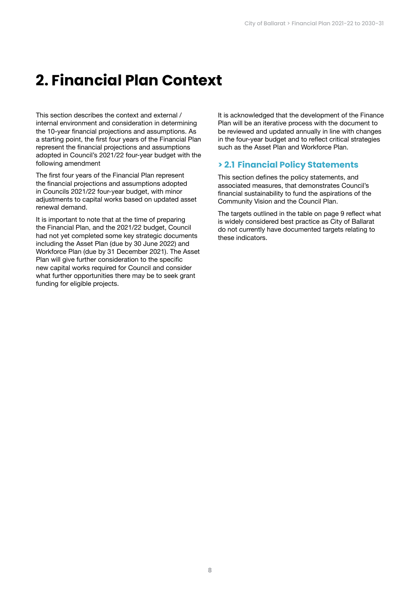# **2. Financial Plan Context**

This section describes the context and external / internal environment and consideration in determining the 10-year financial projections and assumptions. As a starting point, the first four years of the Financial Plan represent the financial projections and assumptions adopted in Council's 2021/22 four-year budget with the following amendment

The first four years of the Financial Plan represent the financial projections and assumptions adopted in Councils 2021/22 four-year budget, with minor adjustments to capital works based on updated asset renewal demand.

It is important to note that at the time of preparing the Financial Plan, and the 2021/22 budget, Council had not yet completed some key strategic documents including the Asset Plan (due by 30 June 2022) and Workforce Plan (due by 31 December 2021). The Asset Plan will give further consideration to the specific new capital works required for Council and consider what further opportunities there may be to seek grant funding for eligible projects.

It is acknowledged that the development of the Finance Plan will be an iterative process with the document to be reviewed and updated annually in line with changes in the four-year budget and to reflect critical strategies such as the Asset Plan and Workforce Plan.

# **> 2.1 Financial Policy Statements**

This section defines the policy statements, and associated measures, that demonstrates Council's financial sustainability to fund the aspirations of the Community Vision and the Council Plan.

The targets outlined in the table on page 9 reflect what is widely considered best practice as City of Ballarat do not currently have documented targets relating to these indicators.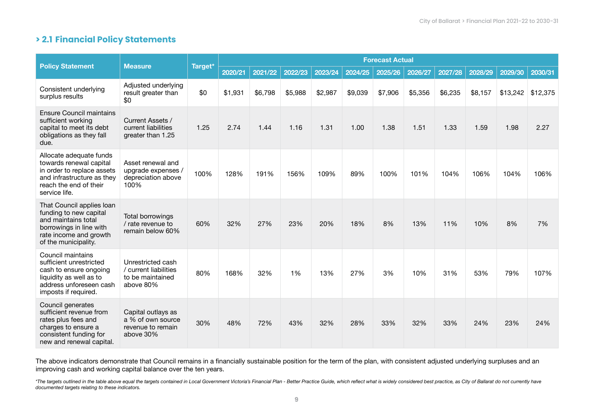# **> 2.1 Financial Policy Statements**

|                                                                                                                                                           | <b>Measure</b>                                                              |         |         |         |         |         |         | <b>Forecast Actual</b> |         |         |         |          |          |
|-----------------------------------------------------------------------------------------------------------------------------------------------------------|-----------------------------------------------------------------------------|---------|---------|---------|---------|---------|---------|------------------------|---------|---------|---------|----------|----------|
| <b>Policy Statement</b>                                                                                                                                   |                                                                             | Target* | 2020/21 | 2021/22 | 2022/23 | 2023/24 | 2024/25 | 2025/26                | 2026/27 | 2027/28 | 2028/29 | 2029/30  | 2030/31  |
| Consistent underlying<br>surplus results                                                                                                                  | Adjusted underlying<br>result greater than<br>\$0                           | \$0     | \$1,931 | \$6,798 | \$5,988 | \$2,987 | \$9,039 | \$7,906                | \$5,356 | \$6,235 | \$8,157 | \$13,242 | \$12,375 |
| Ensure Council maintains<br>sufficient working<br>capital to meet its debt<br>obligations as they fall<br>due.                                            | Current Assets /<br>current liabilities<br>greater than 1.25                | 1.25    | 2.74    | 1.44    | 1.16    | 1.31    | 1.00    | 1.38                   | 1.51    | 1.33    | 1.59    | 1.98     | 2.27     |
| Allocate adequate funds<br>towards renewal capital<br>in order to replace assets<br>and infrastructure as they<br>reach the end of their<br>service life. | Asset renewal and<br>upgrade expenses /<br>depreciation above<br>100%       | 100%    | 128%    | 191%    | 156%    | 109%    | 89%     | 100%                   | 101%    | 104%    | 106%    | 104%     | 106%     |
| That Council applies loan<br>funding to new capital<br>and maintains total<br>borrowings in line with<br>rate income and growth<br>of the municipality.   | <b>Total borrowings</b><br>/ rate revenue to<br>remain below 60%            | 60%     | 32%     | 27%     | 23%     | 20%     | 18%     | 8%                     | 13%     | 11%     | 10%     | 8%       | 7%       |
| Council maintains<br>sufficient unrestricted<br>cash to ensure ongoing<br>liquidity as well as to<br>address unforeseen cash<br>imposts if required.      | Unrestricted cash<br>/ current liabilities<br>to be maintained<br>above 80% | 80%     | 168%    | 32%     | 1%      | 13%     | 27%     | 3%                     | 10%     | 31%     | 53%     | 79%      | 107%     |
| Council generates<br>sufficient revenue from<br>rates plus fees and<br>charges to ensure a<br>consistent funding for<br>new and renewal capital.          | Capital outlays as<br>a % of own source<br>revenue to remain<br>above 30%   | 30%     | 48%     | 72%     | 43%     | 32%     | 28%     | 33%                    | 32%     | 33%     | 24%     | 23%      | 24%      |

The above indicators demonstrate that Council remains in a financially sustainable position for the term of the plan, with consistent adjusted underlying surpluses and an improving cash and working capital balance over the ten years.

\*The targets outlined in the table above equal the targets contained in Local Government Victoria's Financial Plan - Better Practice Guide, which reflect what is widely considered best practice, as City of Ballarat do not *documented targets relating to these indicators.*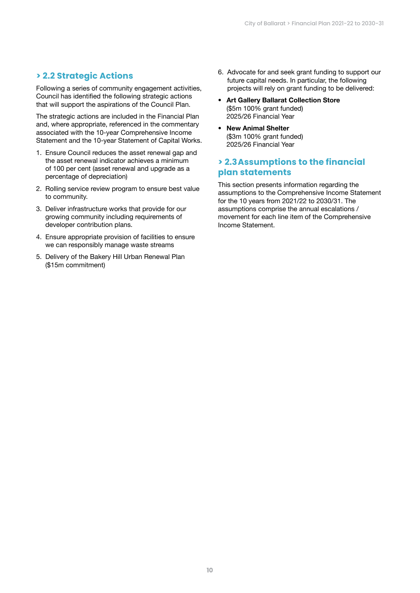# **> 2.2 Strategic Actions**

Following a series of community engagement activities, Council has identified the following strategic actions that will support the aspirations of the Council Plan.

The strategic actions are included in the Financial Plan and, where appropriate, referenced in the commentary associated with the 10-year Comprehensive Income Statement and the 10-year Statement of Capital Works.

- 1. Ensure Council reduces the asset renewal gap and the asset renewal indicator achieves a minimum of 100 per cent (asset renewal and upgrade as a percentage of depreciation)
- 2. Rolling service review program to ensure best value to community.
- 3. Deliver infrastructure works that provide for our growing community including requirements of developer contribution plans.
- 4. Ensure appropriate provision of facilities to ensure we can responsibly manage waste streams
- 5. Delivery of the Bakery Hill Urban Renewal Plan (\$15m commitment)
- 6. Advocate for and seek grant funding to support our future capital needs. In particular, the following projects will rely on grant funding to be delivered:
- Art Gallery Ballarat Collection Store (\$5m 100% grant funded) 2025/26 Financial Year
- New Animal Shelter (\$3m 100% grant funded) 2025/26 Financial Year

# **> 2.3Assumptions to the financial plan statements**

This section presents information regarding the assumptions to the Comprehensive Income Statement for the 10 years from 2021/22 to 2030/31. The assumptions comprise the annual escalations / movement for each line item of the Comprehensive Income Statement.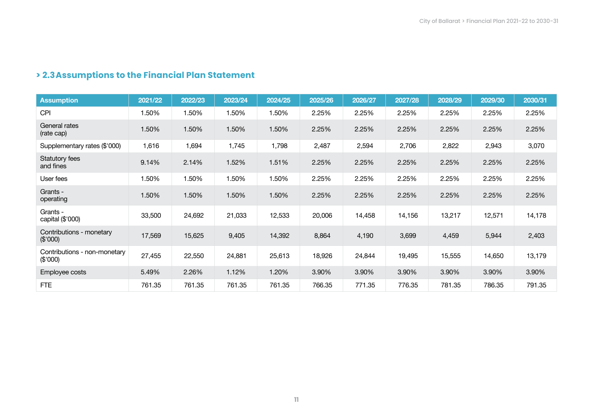# **> 2.3Assumptions to the Financial Plan Statement**

| <b>Assumption</b>                        | 2021/22 | 2022/23 | 2023/24 | 2024/25 | 2025/26 | 2026/27 | 2027/28 | 2028/29 | 2029/30 | 2030/31 |
|------------------------------------------|---------|---------|---------|---------|---------|---------|---------|---------|---------|---------|
| <b>CPI</b>                               | 1.50%   | 1.50%   | 1.50%   | 1.50%   | 2.25%   | 2.25%   | 2.25%   | 2.25%   | 2.25%   | 2.25%   |
| General rates<br>(rate cap)              | 1.50%   | 1.50%   | 1.50%   | 1.50%   | 2.25%   | 2.25%   | 2.25%   | 2.25%   | 2.25%   | 2.25%   |
| Supplementary rates (\$'000)             | 1,616   | 1,694   | 1,745   | 1,798   | 2,487   | 2,594   | 2,706   | 2,822   | 2,943   | 3,070   |
| Statutory fees<br>and fines              | 9.14%   | 2.14%   | 1.52%   | 1.51%   | 2.25%   | 2.25%   | 2.25%   | 2.25%   | 2.25%   | 2.25%   |
| User fees                                | 1.50%   | 1.50%   | 1.50%   | 1.50%   | 2.25%   | 2.25%   | 2.25%   | 2.25%   | 2.25%   | 2.25%   |
| Grants -<br>operating                    | 1.50%   | 1.50%   | 1.50%   | 1.50%   | 2.25%   | 2.25%   | 2.25%   | 2.25%   | 2.25%   | 2.25%   |
| Grants -<br>capital $(\$'000)$           | 33,500  | 24,692  | 21,033  | 12,533  | 20,006  | 14,458  | 14,156  | 13,217  | 12,571  | 14,178  |
| Contributions - monetary<br>(\$'000)     | 17,569  | 15,625  | 9,405   | 14,392  | 8,864   | 4,190   | 3,699   | 4,459   | 5,944   | 2,403   |
| Contributions - non-monetary<br>(\$'000) | 27,455  | 22,550  | 24,881  | 25,613  | 18,926  | 24,844  | 19,495  | 15,555  | 14,650  | 13,179  |
| Employee costs                           | 5.49%   | 2.26%   | 1.12%   | 1.20%   | 3.90%   | 3.90%   | 3.90%   | 3.90%   | 3.90%   | 3.90%   |
| FTE                                      | 761.35  | 761.35  | 761.35  | 761.35  | 766.35  | 771.35  | 776.35  | 781.35  | 786.35  | 791.35  |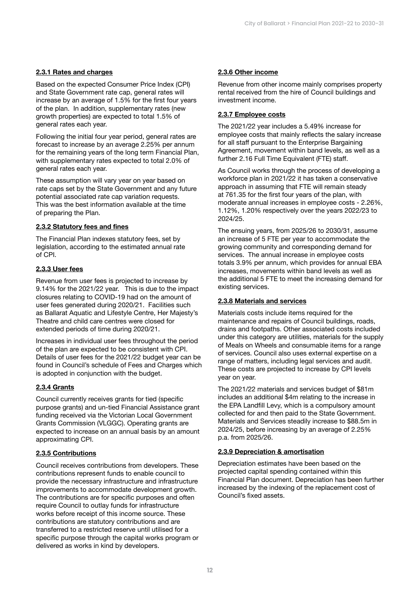### 2.3.1 Rates and charges

Based on the expected Consumer Price Index (CPI) and State Government rate cap, general rates will increase by an average of 1.5% for the first four years of the plan. In addition, supplementary rates (new growth properties) are expected to total 1.5% of general rates each year.

Following the initial four year period, general rates are forecast to increase by an average 2.25% per annum for the remaining years of the long term Financial Plan, with supplementary rates expected to total 2.0% of general rates each year.

These assumption will vary year on year based on rate caps set by the State Government and any future potential associated rate cap variation requests. This was the best information available at the time of preparing the Plan.

#### 2.3.2 Statutory fees and fines

The Financial Plan indexes statutory fees, set by legislation, according to the estimated annual rate of CPI.

### 2.3.3 User fees

Revenue from user fees is projected to increase by 9.14% for the 2021/22 year. This is due to the impact closures relating to COVID-19 had on the amount of user fees generated during 2020/21. Facilities such as Ballarat Aquatic and Lifestyle Centre, Her Majesty's Theatre and child care centres were closed for extended periods of time during 2020/21.

Increases in individual user fees throughout the period of the plan are expected to be consistent with CPI. Details of user fees for the 2021/22 budget year can be found in Council's schedule of Fees and Charges which is adopted in conjunction with the budget.

### 2.3.4 Grants

Council currently receives grants for tied (specific purpose grants) and un-tied Financial Assistance grant funding received via the Victorian Local Government Grants Commission (VLGGC). Operating grants are expected to increase on an annual basis by an amount approximating CPI.

#### 2.3.5 Contributions

Council receives contributions from developers. These contributions represent funds to enable council to provide the necessary infrastructure and infrastructure improvements to accommodate development growth. The contributions are for specific purposes and often require Council to outlay funds for infrastructure works before receipt of this income source. These contributions are statutory contributions and are transferred to a restricted reserve until utilised for a specific purpose through the capital works program or delivered as works in kind by developers.

#### 2.3.6 Other income

Revenue from other income mainly comprises property rental received from the hire of Council buildings and investment income.

#### 2.3.7 Employee costs

The 2021/22 year includes a 5.49% increase for employee costs that mainly reflects the salary increase for all staff pursuant to the Enterprise Bargaining Agreement, movement within band levels, as well as a further 2.16 Full Time Equivalent (FTE) staff.

As Council works through the process of developing a workforce plan in 2021/22 it has taken a conservative approach in assuming that FTE will remain steady at 761.35 for the first four years of the plan, with moderate annual increases in employee costs - 2.26%, 1.12%, 1.20% respectively over the years 2022/23 to 2024/25.

The ensuing years, from 2025/26 to 2030/31, assume an increase of 5 FTE per year to accommodate the growing community and corresponding demand for services. The annual increase in employee costs totals 3.9% per annum, which provides for annual EBA increases, movements within band levels as well as the additional 5 FTE to meet the increasing demand for existing services.

### 2.3.8 Materials and services

Materials costs include items required for the maintenance and repairs of Council buildings, roads, drains and footpaths. Other associated costs included under this category are utilities, materials for the supply of Meals on Wheels and consumable items for a range of services. Council also uses external expertise on a range of matters, including legal services and audit. These costs are projected to increase by CPI levels year on year.

The 2021/22 materials and services budget of \$81m includes an additional \$4m relating to the increase in the EPA Landfill Levy, which is a compulsory amount collected for and then paid to the State Government. Materials and Services steadily increase to \$88.5m in 2024/25, before increasing by an average of 2.25% p.a. from 2025/26.

#### 2.3.9 Depreciation & amortisation

Depreciation estimates have been based on the projected capital spending contained within this Financial Plan document. Depreciation has been further increased by the indexing of the replacement cost of Council's fixed assets.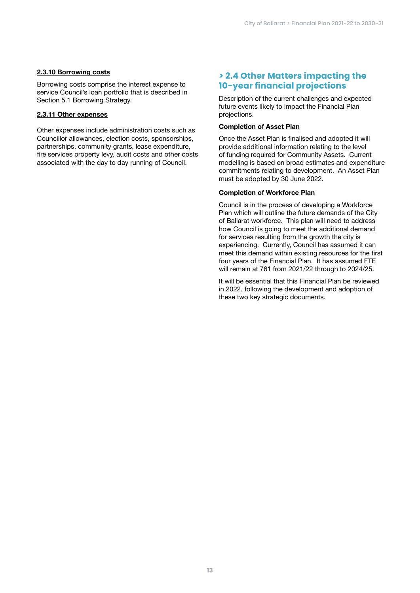#### 2.3.10 Borrowing costs

Borrowing costs comprise the interest expense to service Council's loan portfolio that is described in Section 5.1 Borrowing Strategy.

#### 2.3.11 Other expenses

Other expenses include administration costs such as Councillor allowances, election costs, sponsorships, partnerships, community grants, lease expenditure, fire services property levy, audit costs and other costs associated with the day to day running of Council.

# **> 2.4 Other Matters impacting the 10-year financial projections**

Description of the current challenges and expected future events likely to impact the Financial Plan projections.

### Completion of Asset Plan

Once the Asset Plan is finalised and adopted it will provide additional information relating to the level of funding required for Community Assets. Current modelling is based on broad estimates and expenditure commitments relating to development. An Asset Plan must be adopted by 30 June 2022.

#### Completion of Workforce Plan

Council is in the process of developing a Workforce Plan which will outline the future demands of the City of Ballarat workforce. This plan will need to address how Council is going to meet the additional demand for services resulting from the growth the city is experiencing. Currently, Council has assumed it can meet this demand within existing resources for the first four years of the Financial Plan. It has assumed FTE will remain at 761 from 2021/22 through to 2024/25.

It will be essential that this Financial Plan be reviewed in 2022, following the development and adoption of these two key strategic documents.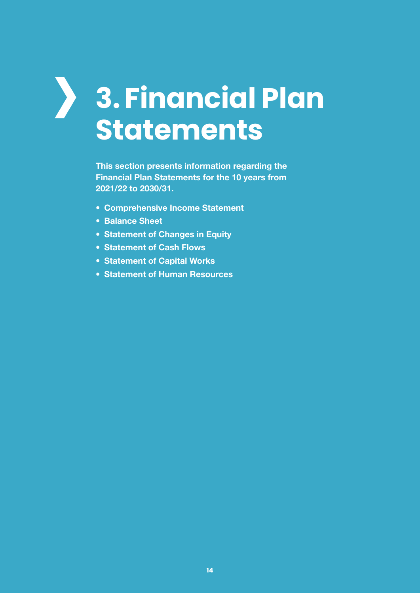# $\sum_{i=1}^{n}$ **3. Financial Plan Statements**

This section presents information regarding the Financial Plan Statements for the 10 years from 2021/22 to 2030/31.

- Comprehensive Income Statement
- Balance Sheet
- Statement of Changes in Equity
- Statement of Cash Flows
- Statement of Capital Works
- Statement of Human Resources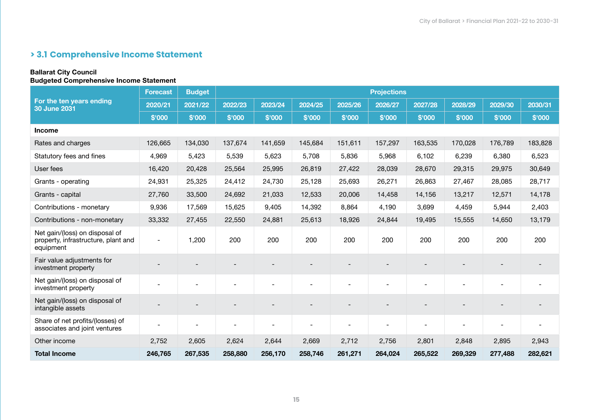# **> 3.1 Comprehensive Income Statement**

## Ballarat City Council

### Budgeted Comprehensive Income Statement

|                                                                                    | <b>Forecast</b> | <b>Budget</b>  |         |         |         |         | <b>Projections</b> |         |         |         |         |
|------------------------------------------------------------------------------------|-----------------|----------------|---------|---------|---------|---------|--------------------|---------|---------|---------|---------|
| For the ten years ending<br>30 June 2031                                           | 2020/21         | 2021/22        | 2022/23 | 2023/24 | 2024/25 | 2025/26 | 2026/27            | 2027/28 | 2028/29 | 2029/30 | 2030/31 |
|                                                                                    | \$'000          | \$'000         | \$'000  | \$'000  | \$'000  | \$'000  | \$'000             | \$'000  | \$'000  | \$'000  | \$'000  |
| <b>Income</b>                                                                      |                 |                |         |         |         |         |                    |         |         |         |         |
| Rates and charges                                                                  | 126,665         | 134,030        | 137,674 | 141,659 | 145,684 | 151,611 | 157,297            | 163,535 | 170,028 | 176,789 | 183,828 |
| Statutory fees and fines                                                           | 4,969           | 5,423          | 5,539   | 5,623   | 5,708   | 5,836   | 5,968              | 6,102   | 6,239   | 6,380   | 6,523   |
| User fees                                                                          | 16,420          | 20,428         | 25,564  | 25,995  | 26,819  | 27,422  | 28,039             | 28,670  | 29,315  | 29,975  | 30,649  |
| Grants - operating                                                                 | 24,931          | 25,325         | 24,412  | 24,730  | 25,128  | 25,693  | 26,271             | 26,863  | 27,467  | 28,085  | 28,717  |
| Grants - capital                                                                   | 27,760          | 33,500         | 24,692  | 21,033  | 12,533  | 20,006  | 14,458             | 14,156  | 13,217  | 12,571  | 14,178  |
| Contributions - monetary                                                           | 9,936           | 17,569         | 15,625  | 9,405   | 14,392  | 8,864   | 4,190              | 3,699   | 4,459   | 5,944   | 2,403   |
| Contributions - non-monetary                                                       | 33,332          | 27,455         | 22,550  | 24,881  | 25,613  | 18,926  | 24,844             | 19,495  | 15,555  | 14,650  | 13,179  |
| Net gain/(loss) on disposal of<br>property, infrastructure, plant and<br>equipment |                 | 1,200          | 200     | 200     | 200     | 200     | 200                | 200     | 200     | 200     | 200     |
| Fair value adjustments for<br>investment property                                  |                 |                |         |         |         |         |                    |         |         |         |         |
| Net gain/(loss) on disposal of<br>investment property                              |                 |                |         |         |         |         |                    |         |         |         |         |
| Net gain/(loss) on disposal of<br>intangible assets                                |                 |                |         |         |         |         |                    |         |         |         |         |
| Share of net profits/(losses) of<br>associates and joint ventures                  |                 | $\blacksquare$ |         |         |         |         |                    |         |         |         |         |
| Other income                                                                       | 2,752           | 2,605          | 2,624   | 2,644   | 2,669   | 2,712   | 2,756              | 2,801   | 2,848   | 2,895   | 2,943   |
| <b>Total Income</b>                                                                | 246,765         | 267,535        | 258,880 | 256,170 | 258,746 | 261,271 | 264,024            | 265,522 | 269,329 | 277,488 | 282,621 |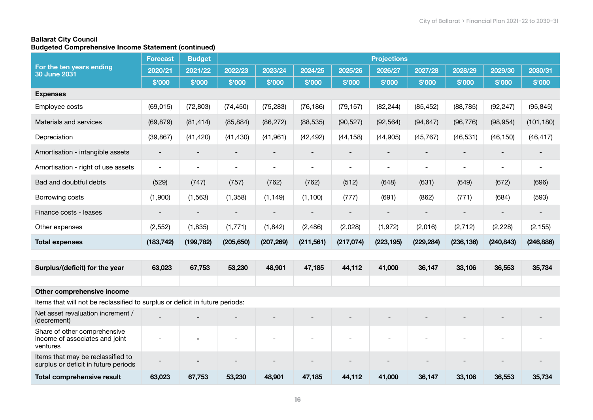### Ballarat City Council Budgeted Comprehensive Income Statement (continued)

|                                                                              | <b>Forecast</b>          | <b>Budget</b>            |                          |                |                          |                          | <b>Projections</b>       |            |                          |                          |                          |
|------------------------------------------------------------------------------|--------------------------|--------------------------|--------------------------|----------------|--------------------------|--------------------------|--------------------------|------------|--------------------------|--------------------------|--------------------------|
| For the ten years ending<br><b>30 June 2031</b>                              | 2020/21                  | 2021/22                  | 2022/23                  | 2023/24        | 2024/25                  | 2025/26                  | 2026/27                  | 2027/28    | 2028/29                  | 2029/30                  | 2030/31                  |
|                                                                              | \$'000                   | \$'000                   | \$'000                   | \$'000         | \$'000                   | \$'000                   | \$'000                   | \$'000     | \$'000                   | \$'000                   | \$'000                   |
| <b>Expenses</b>                                                              |                          |                          |                          |                |                          |                          |                          |            |                          |                          |                          |
| Employee costs                                                               | (69, 015)                | (72, 803)                | (74, 450)                | (75, 283)      | (76, 186)                | (79, 157)                | (82, 244)                | (85, 452)  | (88, 785)                | (92, 247)                | (95, 845)                |
| Materials and services                                                       | (69, 879)                | (81, 414)                | (85, 884)                | (86, 272)      | (88, 535)                | (90, 527)                | (92, 564)                | (94, 647)  | (96, 776)                | (98, 954)                | (101, 180)               |
| Depreciation                                                                 | (39, 867)                | (41, 420)                | (41, 430)                | (41, 961)      | (42, 492)                | (44, 158)                | (44, 905)                | (45, 767)  | (46, 531)                | (46, 150)                | (46, 417)                |
| Amortisation - intangible assets                                             | $\blacksquare$           |                          |                          |                |                          |                          |                          |            |                          |                          |                          |
| Amortisation - right of use assets                                           | $\overline{\phantom{a}}$ | $\overline{\phantom{a}}$ | $\overline{\phantom{a}}$ | $\blacksquare$ | $\overline{\phantom{a}}$ | $\overline{\phantom{a}}$ | $\blacksquare$           |            | $\blacksquare$           | $\overline{\phantom{a}}$ | $\overline{\phantom{a}}$ |
| Bad and doubtful debts                                                       | (529)                    | (747)                    | (757)                    | (762)          | (762)                    | (512)                    | (648)                    | (631)      | (649)                    | (672)                    | (696)                    |
| Borrowing costs                                                              | (1,900)                  | (1, 563)                 | (1, 358)                 | (1, 149)       | (1, 100)                 | (777)                    | (691)                    | (862)      | (771)                    | (684)                    | (593)                    |
| Finance costs - leases                                                       | $\overline{\phantom{a}}$ | $\overline{\phantom{a}}$ | $\overline{\phantom{0}}$ |                |                          | $\qquad \qquad -$        | $\overline{\phantom{a}}$ |            | $\overline{\phantom{a}}$ | $\overline{\phantom{a}}$ | $\overline{\phantom{a}}$ |
| Other expenses                                                               | (2, 552)                 | (1, 835)                 | (1,771)                  | (1, 842)       | (2,486)                  | (2,028)                  | (1, 972)                 | (2,016)    | (2, 712)                 | (2, 228)                 | (2, 155)                 |
| <b>Total expenses</b>                                                        | (183, 742)               | (199, 782)               | (205, 650)               | (207, 269)     | (211, 561)               | (217,074)                | (223, 195)               | (229, 284) | (236, 136)               | (240, 843)               | (246, 886)               |
|                                                                              |                          |                          |                          |                |                          |                          |                          |            |                          |                          |                          |
| Surplus/(deficit) for the year                                               | 63,023                   | 67,753                   | 53,230                   | 48,901         | 47,185                   | 44,112                   | 41,000                   | 36,147     | 33,106                   | 36,553                   | 35,734                   |
|                                                                              |                          |                          |                          |                |                          |                          |                          |            |                          |                          |                          |
| Other comprehensive income                                                   |                          |                          |                          |                |                          |                          |                          |            |                          |                          |                          |
| Items that will not be reclassified to surplus or deficit in future periods: |                          |                          |                          |                |                          |                          |                          |            |                          |                          |                          |
| Net asset revaluation increment /<br>(decrement)                             |                          |                          |                          |                |                          |                          |                          |            |                          |                          |                          |
| Share of other comprehensive<br>income of associates and joint<br>ventures   | $\overline{\phantom{a}}$ |                          |                          |                |                          |                          |                          |            |                          |                          |                          |
| Items that may be reclassified to<br>surplus or deficit in future periods    |                          |                          |                          |                |                          |                          |                          |            |                          |                          |                          |
| <b>Total comprehensive result</b>                                            | 63,023                   | 67,753                   | 53,230                   | 48,901         | 47,185                   | 44,112                   | 41,000                   | 36,147     | 33,106                   | 36,553                   | 35,734                   |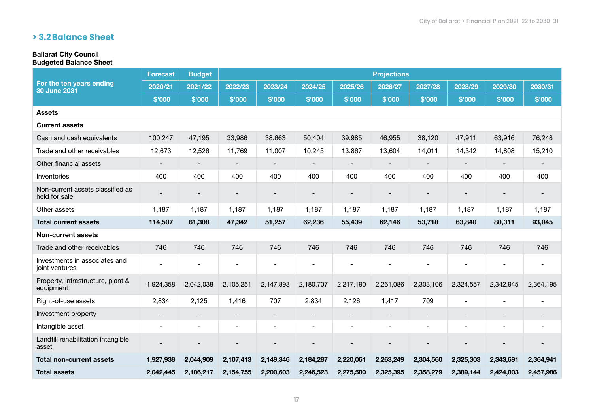# **> 3.2Balance Sheet**

# Ballarat City Council

#### Budgeted Balance Sheet

|                                                   | <b>Forecast</b>          | <b>Budget</b>            |                          |                              |           |                          | <b>Projections</b>       |                          |                |                          |                          |
|---------------------------------------------------|--------------------------|--------------------------|--------------------------|------------------------------|-----------|--------------------------|--------------------------|--------------------------|----------------|--------------------------|--------------------------|
| For the ten years ending<br><b>30 June 2031</b>   | 2020/21                  | 2021/22                  | 2022/23                  | 2023/24                      | 2024/25   | 2025/26                  | 2026/27                  | 2027/28                  | 2028/29        | 2029/30                  | 2030/31                  |
|                                                   | \$'000                   | \$'000                   | \$'000                   | \$'000                       | \$'000    | \$'000                   | \$'000                   | \$'000                   | \$'000         | \$'000                   | \$'000                   |
| <b>Assets</b>                                     |                          |                          |                          |                              |           |                          |                          |                          |                |                          |                          |
| <b>Current assets</b>                             |                          |                          |                          |                              |           |                          |                          |                          |                |                          |                          |
| Cash and cash equivalents                         | 100,247                  | 47,195                   | 33,986                   | 38,663                       | 50,404    | 39,985                   | 46,955                   | 38,120                   | 47,911         | 63,916                   | 76,248                   |
| Trade and other receivables                       | 12,673                   | 12,526                   | 11,769                   | 11,007                       | 10,245    | 13,867                   | 13,604                   | 14,011                   | 14,342         | 14,808                   | 15,210                   |
| Other financial assets                            |                          |                          | $\overline{\phantom{a}}$ | $\qquad \qquad \blacksquare$ |           | $\overline{\phantom{a}}$ | $\overline{\phantom{a}}$ | -                        |                | $\overline{\phantom{a}}$ | $\overline{\phantom{a}}$ |
| Inventories                                       | 400                      | 400                      | 400                      | 400                          | 400       | 400                      | 400                      | 400                      | 400            | 400                      | 400                      |
| Non-current assets classified as<br>held for sale |                          |                          |                          |                              |           |                          |                          |                          |                |                          |                          |
| Other assets                                      | 1,187                    | 1,187                    | 1,187                    | 1,187                        | 1,187     | 1,187                    | 1,187                    | 1,187                    | 1,187          | 1,187                    | 1,187                    |
| <b>Total current assets</b>                       | 114,507                  | 61,308                   | 47,342                   | 51,257                       | 62,236    | 55,439                   | 62,146                   | 53,718                   | 63,840         | 80,311                   | 93,045                   |
| <b>Non-current assets</b>                         |                          |                          |                          |                              |           |                          |                          |                          |                |                          |                          |
| Trade and other receivables                       | 746                      | 746                      | 746                      | 746                          | 746       | 746                      | 746                      | 746                      | 746            | 746                      | 746                      |
| Investments in associates and<br>joint ventures   | $\blacksquare$           | $\overline{\phantom{a}}$ | $\sim$                   | L,                           |           | $\blacksquare$           | $\blacksquare$           | $\blacksquare$           | $\blacksquare$ | $\blacksquare$           | $\overline{\phantom{a}}$ |
| Property, infrastructure, plant &<br>equipment    | 1,924,358                | 2,042,038                | 2,105,251                | 2,147,893                    | 2,180,707 | 2,217,190                | 2,261,086                | 2,303,106                | 2,324,557      | 2,342,945                | 2,364,195                |
| Right-of-use assets                               | 2,834                    | 2,125                    | 1,416                    | 707                          | 2,834     | 2,126                    | 1,417                    | 709                      |                |                          |                          |
| Investment property                               | $\overline{\phantom{a}}$ | $\overline{\phantom{a}}$ | $\overline{\phantom{a}}$ | -                            |           | $\overline{\phantom{a}}$ | $\overline{\phantom{a}}$ | $\overline{\phantom{a}}$ |                | $\overline{\phantom{a}}$ | $\overline{\phantom{a}}$ |
| Intangible asset                                  | $\overline{\phantom{a}}$ | $\overline{\phantom{a}}$ | $\overline{\phantom{a}}$ | $\overline{\phantom{0}}$     |           | $\overline{\phantom{0}}$ | $\overline{\phantom{a}}$ | $\blacksquare$           |                | $\overline{\phantom{0}}$ | $\sim$                   |
| Landfill rehabilitation intangible<br>asset       |                          |                          |                          |                              |           |                          |                          |                          |                |                          |                          |
| <b>Total non-current assets</b>                   | 1,927,938                | 2,044,909                | 2,107,413                | 2,149,346                    | 2,184,287 | 2,220,061                | 2,263,249                | 2,304,560                | 2,325,303      | 2,343,691                | 2,364,941                |
| <b>Total assets</b>                               | 2,042,445                | 2,106,217                | 2,154,755                | 2,200,603                    | 2,246,523 | 2,275,500                | 2,325,395                | 2,358,279                | 2,389,144      | 2,424,003                | 2,457,986                |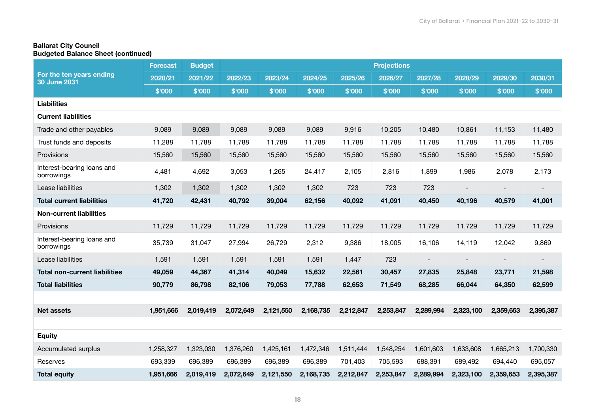### Ballarat City Council Budgeted Balance Sheet (continued)

|                                                 | <b>Forecast</b> | <b>Budget</b> |           |           |           |           | <b>Projections</b> |           |           |           |                              |
|-------------------------------------------------|-----------------|---------------|-----------|-----------|-----------|-----------|--------------------|-----------|-----------|-----------|------------------------------|
| For the ten years ending<br><b>30 June 2031</b> | 2020/21         | 2021/22       | 2022/23   | 2023/24   | 2024/25   | 2025/26   | 2026/27            | 2027/28   | 2028/29   | 2029/30   | 2030/31                      |
|                                                 | \$'000          | \$'000        | \$'000    | \$'000    | \$'000    | \$'000    | \$'000             | \$'000    | \$'000    | \$'000    | \$'000                       |
| <b>Liabilities</b>                              |                 |               |           |           |           |           |                    |           |           |           |                              |
| <b>Current liabilities</b>                      |                 |               |           |           |           |           |                    |           |           |           |                              |
| Trade and other payables                        | 9,089           | 9,089         | 9,089     | 9,089     | 9,089     | 9,916     | 10,205             | 10,480    | 10,861    | 11,153    | 11,480                       |
| Trust funds and deposits                        | 11,288          | 11,788        | 11,788    | 11,788    | 11,788    | 11,788    | 11,788             | 11,788    | 11,788    | 11,788    | 11,788                       |
| Provisions                                      | 15,560          | 15,560        | 15,560    | 15,560    | 15,560    | 15,560    | 15,560             | 15,560    | 15,560    | 15,560    | 15,560                       |
| Interest-bearing loans and<br>borrowings        | 4,481           | 4,692         | 3,053     | 1,265     | 24,417    | 2,105     | 2,816              | 1,899     | 1,986     | 2,078     | 2,173                        |
| Lease liabilities                               | 1,302           | 1,302         | 1,302     | 1,302     | 1,302     | 723       | 723                | 723       |           |           | $\qquad \qquad \blacksquare$ |
| <b>Total current liabilities</b>                | 41,720          | 42,431        | 40,792    | 39,004    | 62,156    | 40,092    | 41,091             | 40,450    | 40,196    | 40,579    | 41,001                       |
| <b>Non-current liabilities</b>                  |                 |               |           |           |           |           |                    |           |           |           |                              |
| Provisions                                      | 11,729          | 11,729        | 11,729    | 11,729    | 11,729    | 11,729    | 11,729             | 11,729    | 11,729    | 11,729    | 11,729                       |
| Interest-bearing loans and<br>borrowings        | 35,739          | 31,047        | 27,994    | 26,729    | 2,312     | 9,386     | 18,005             | 16,106    | 14,119    | 12,042    | 9,869                        |
| Lease liabilities                               | 1,591           | 1,591         | 1,591     | 1,591     | 1,591     | 1,447     | 723                |           |           |           |                              |
| <b>Total non-current liabilities</b>            | 49,059          | 44,367        | 41,314    | 40,049    | 15,632    | 22,561    | 30,457             | 27,835    | 25,848    | 23,771    | 21,598                       |
| <b>Total liabilities</b>                        | 90,779          | 86,798        | 82,106    | 79,053    | 77,788    | 62,653    | 71,549             | 68,285    | 66,044    | 64,350    | 62,599                       |
|                                                 |                 |               |           |           |           |           |                    |           |           |           |                              |
| <b>Net assets</b>                               | 1,951,666       | 2,019,419     | 2,072,649 | 2,121,550 | 2,168,735 | 2,212,847 | 2,253,847          | 2,289,994 | 2,323,100 | 2,359,653 | 2,395,387                    |
|                                                 |                 |               |           |           |           |           |                    |           |           |           |                              |
| <b>Equity</b>                                   |                 |               |           |           |           |           |                    |           |           |           |                              |
| Accumulated surplus                             | 1,258,327       | 1,323,030     | 1,376,260 | 1,425,161 | 1,472,346 | 1,511,444 | 1,548,254          | 1,601,603 | 1,633,608 | 1,665,213 | 1,700,330                    |
| Reserves                                        | 693,339         | 696,389       | 696,389   | 696,389   | 696,389   | 701,403   | 705,593            | 688,391   | 689,492   | 694,440   | 695,057                      |
| <b>Total equity</b>                             | 1,951,666       | 2,019,419     | 2,072,649 | 2,121,550 | 2,168,735 | 2,212,847 | 2,253,847          | 2,289,994 | 2,323,100 | 2,359,653 | 2,395,387                    |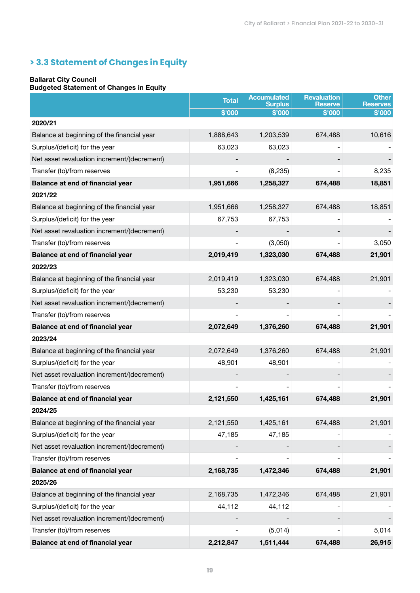# **> 3.3 Statement of Changes in Equity**

#### Ballarat City Council

#### Budgeted Statement of Changes in Equity

|                                             | <b>Total</b> | <b>Accumulated</b><br><b>Surplus</b> | <b>Revaluation</b><br><b>Reserve</b> | <b>Other</b><br><b>Reserves</b> |
|---------------------------------------------|--------------|--------------------------------------|--------------------------------------|---------------------------------|
|                                             | \$'000       | \$'000                               | \$'000                               | \$'000                          |
| 2020/21                                     |              |                                      |                                      |                                 |
| Balance at beginning of the financial year  | 1,888,643    | 1,203,539                            | 674,488                              | 10,616                          |
| Surplus/(deficit) for the year              | 63,023       | 63,023                               |                                      |                                 |
| Net asset revaluation increment/(decrement) |              |                                      |                                      |                                 |
| Transfer (to)/from reserves                 |              | (8, 235)                             |                                      | 8,235                           |
| Balance at end of financial year            | 1,951,666    | 1,258,327                            | 674,488                              | 18,851                          |
| 2021/22                                     |              |                                      |                                      |                                 |
| Balance at beginning of the financial year  | 1,951,666    | 1,258,327                            | 674,488                              | 18,851                          |
| Surplus/(deficit) for the year              | 67,753       | 67,753                               |                                      |                                 |
| Net asset revaluation increment/(decrement) |              |                                      |                                      |                                 |
| Transfer (to)/from reserves                 |              | (3,050)                              |                                      | 3,050                           |
| Balance at end of financial year            | 2,019,419    | 1,323,030                            | 674,488                              | 21,901                          |
| 2022/23                                     |              |                                      |                                      |                                 |
| Balance at beginning of the financial year  | 2,019,419    | 1,323,030                            | 674,488                              | 21,901                          |
| Surplus/(deficit) for the year              | 53,230       | 53,230                               |                                      |                                 |
| Net asset revaluation increment/(decrement) |              |                                      |                                      |                                 |
| Transfer (to)/from reserves                 |              |                                      |                                      |                                 |
| Balance at end of financial year            | 2,072,649    | 1,376,260                            | 674,488                              | 21,901                          |
| 2023/24                                     |              |                                      |                                      |                                 |
| Balance at beginning of the financial year  | 2,072,649    | 1,376,260                            | 674,488                              | 21,901                          |
| Surplus/(deficit) for the year              | 48,901       | 48,901                               |                                      |                                 |
| Net asset revaluation increment/(decrement) |              |                                      |                                      |                                 |
| Transfer (to)/from reserves                 |              |                                      |                                      |                                 |
| Balance at end of financial year            | 2,121,550    | 1,425,161                            | 674,488                              | 21,901                          |
| 2024/25                                     |              |                                      |                                      |                                 |
| Balance at beginning of the financial year  | 2,121,550    | 1,425,161                            | 674,488                              | 21,901                          |
| Surplus/(deficit) for the year              | 47,185       | 47,185                               |                                      |                                 |
| Net asset revaluation increment/(decrement) |              |                                      |                                      |                                 |
| Transfer (to)/from reserves                 |              |                                      |                                      |                                 |
| Balance at end of financial year            | 2,168,735    | 1,472,346                            | 674,488                              | 21,901                          |
| 2025/26                                     |              |                                      |                                      |                                 |
| Balance at beginning of the financial year  | 2,168,735    | 1,472,346                            | 674,488                              | 21,901                          |
| Surplus/(deficit) for the year              | 44,112       | 44,112                               |                                      |                                 |
| Net asset revaluation increment/(decrement) |              |                                      |                                      |                                 |
| Transfer (to)/from reserves                 | -            | (5,014)                              | $\overline{\phantom{a}}$             | 5,014                           |
| Balance at end of financial year            | 2,212,847    | 1,511,444                            | 674,488                              | 26,915                          |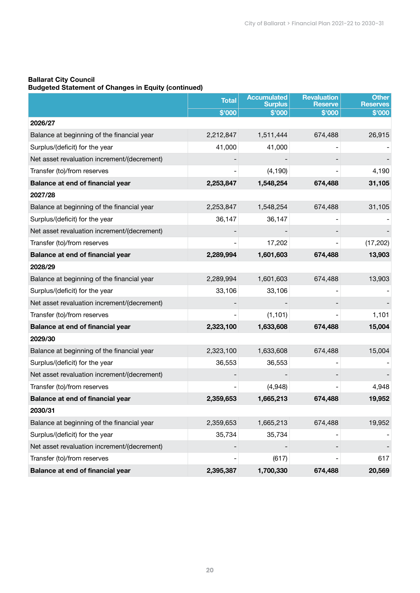#### Ballarat City Council

#### Budgeted Statement of Changes in Equity (continued)

|                                             | <b>Total</b>             | <b>Accumulated</b><br><b>Surplus</b> | <b>Revaluation</b><br><b>Reserve</b> | <b>Other</b><br><b>Reserves</b> |
|---------------------------------------------|--------------------------|--------------------------------------|--------------------------------------|---------------------------------|
|                                             | \$'000                   | \$'000                               | \$'000                               | \$'000                          |
| 2026/27                                     |                          |                                      |                                      |                                 |
| Balance at beginning of the financial year  | 2,212,847                | 1,511,444                            | 674,488                              | 26,915                          |
| Surplus/(deficit) for the year              | 41,000                   | 41,000                               |                                      |                                 |
| Net asset revaluation increment/(decrement) |                          |                                      |                                      |                                 |
| Transfer (to)/from reserves                 | -                        | (4, 190)                             |                                      | 4,190                           |
| Balance at end of financial year            | 2,253,847                | 1,548,254                            | 674,488                              | 31,105                          |
| 2027/28                                     |                          |                                      |                                      |                                 |
| Balance at beginning of the financial year  | 2,253,847                | 1,548,254                            | 674,488                              | 31,105                          |
| Surplus/(deficit) for the year              | 36,147                   | 36,147                               |                                      |                                 |
| Net asset revaluation increment/(decrement) |                          |                                      |                                      |                                 |
| Transfer (to)/from reserves                 | $\overline{\phantom{0}}$ | 17,202                               |                                      | (17, 202)                       |
| Balance at end of financial year            | 2,289,994                | 1,601,603                            | 674,488                              | 13,903                          |
| 2028/29                                     |                          |                                      |                                      |                                 |
| Balance at beginning of the financial year  | 2,289,994                | 1,601,603                            | 674,488                              | 13,903                          |
| Surplus/(deficit) for the year              | 33,106                   | 33,106                               |                                      |                                 |
| Net asset revaluation increment/(decrement) |                          |                                      |                                      |                                 |
| Transfer (to)/from reserves                 | $\overline{\phantom{0}}$ | (1, 101)                             |                                      | 1,101                           |
| Balance at end of financial year            | 2,323,100                | 1,633,608                            | 674,488                              | 15,004                          |
| 2029/30                                     |                          |                                      |                                      |                                 |
| Balance at beginning of the financial year  | 2,323,100                | 1,633,608                            | 674,488                              | 15,004                          |
| Surplus/(deficit) for the year              | 36,553                   | 36,553                               |                                      |                                 |
| Net asset revaluation increment/(decrement) |                          |                                      |                                      |                                 |
| Transfer (to)/from reserves                 |                          | (4,948)                              |                                      | 4,948                           |
| Balance at end of financial year            | 2,359,653                | 1,665,213                            | 674,488                              | 19,952                          |
| 2030/31                                     |                          |                                      |                                      |                                 |
| Balance at beginning of the financial year  | 2,359,653                | 1,665,213                            | 674,488                              | 19,952                          |
| Surplus/(deficit) for the year              | 35,734                   | 35,734                               |                                      |                                 |
| Net asset revaluation increment/(decrement) |                          |                                      |                                      |                                 |
| Transfer (to)/from reserves                 | $\overline{\phantom{0}}$ | (617)                                |                                      | 617                             |
| Balance at end of financial year            | 2,395,387                | 1,700,330                            | 674,488                              | 20,569                          |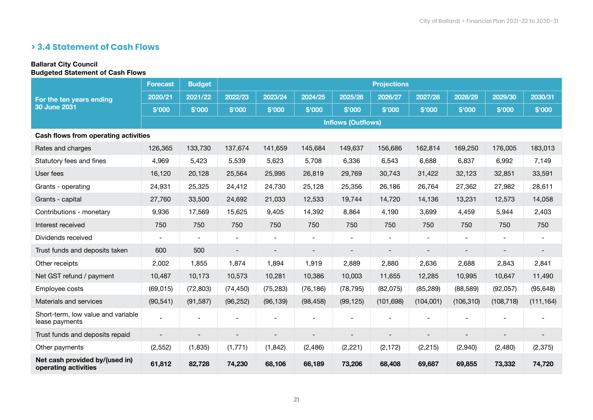# **> 3.4 Statement of Cash Flows**

# Ballarat City Council

# Budgeted Statement of Cash Flows

|                                                        | <b>Forecast</b> | <b>Budget</b>            |                          |                          |                |                           | <b>Projections</b>       |                |                          |                |                          |
|--------------------------------------------------------|-----------------|--------------------------|--------------------------|--------------------------|----------------|---------------------------|--------------------------|----------------|--------------------------|----------------|--------------------------|
| For the ten years ending                               | 2020/21         | 2021/22                  | 2022/23                  | 2023/24                  | 2024/25        | 2025/26                   | 2026/27                  | 2027/28        | 2028/29                  | 2029/30        | 2030/31                  |
| <b>30 June 2031</b>                                    | \$'000          | \$'000                   | \$'000                   | \$'000                   | \$'000         | \$'000                    | \$'000                   | \$'000         | \$'000                   | \$'000         | \$'000                   |
|                                                        |                 |                          |                          |                          |                | <b>Inflows (Outflows)</b> |                          |                |                          |                |                          |
| Cash flows from operating activities                   |                 |                          |                          |                          |                |                           |                          |                |                          |                |                          |
| Rates and charges                                      | 126,365         | 133,730                  | 137,674                  | 141,659                  | 145,684        | 149,637                   | 156,686                  | 162,814        | 169,250                  | 176,005        | 183,013                  |
| Statutory fees and fines                               | 4,969           | 5,423                    | 5,539                    | 5,623                    | 5,708          | 6,336                     | 6,543                    | 6,688          | 6,837                    | 6,992          | 7,149                    |
| User fees                                              | 16,120          | 20,128                   | 25,564                   | 25,995                   | 26,819         | 29,769                    | 30,743                   | 31,422         | 32,123                   | 32,851         | 33,591                   |
| Grants - operating                                     | 24,931          | 25,325                   | 24,412                   | 24,730                   | 25,128         | 25,356                    | 26,186                   | 26,764         | 27,362                   | 27,982         | 28,611                   |
| Grants - capital                                       | 27,760          | 33,500                   | 24,692                   | 21,033                   | 12,533         | 19,744                    | 14,720                   | 14,136         | 13,231                   | 12,573         | 14,058                   |
| Contributions - monetary                               | 9,936           | 17,569                   | 15,625                   | 9,405                    | 14,392         | 8,864                     | 4,190                    | 3,699          | 4,459                    | 5,944          | 2,403                    |
| Interest received                                      | 750             | 750                      | 750                      | 750                      | 750            | 750                       | 750                      | 750            | 750                      | 750            | 750                      |
| Dividends received                                     | $\blacksquare$  | $\overline{\phantom{0}}$ | $\overline{\phantom{a}}$ | $\overline{\phantom{a}}$ | $\blacksquare$ | $\overline{\phantom{a}}$  | $\overline{\phantom{a}}$ | $\blacksquare$ | $\overline{\phantom{a}}$ | $\blacksquare$ | $\overline{\phantom{a}}$ |
| Trust funds and deposits taken                         | 600             | 500                      |                          |                          |                |                           |                          |                |                          |                |                          |
| Other receipts                                         | 2,002           | 1,855                    | 1,874                    | 1,894                    | 1,919          | 2,889                     | 2,880                    | 2,636          | 2,688                    | 2,843          | 2,841                    |
| Net GST refund / payment                               | 10,487          | 10,173                   | 10,573                   | 10,281                   | 10,386         | 10,003                    | 11,655                   | 12,285         | 10,995                   | 10,647         | 11,490                   |
| Employee costs                                         | (69, 015)       | (72, 803)                | (74, 450)                | (75, 283)                | (76, 186)      | (78, 795)                 | (82,075)                 | (85, 289)      | (88, 589)                | (92,057)       | (95, 648)                |
| Materials and services                                 | (90, 541)       | (91, 587)                | (96, 252)                | (96, 139)                | (98, 458)      | (99, 125)                 | (101, 698)               | (104,001)      | (106, 310)               | (108, 718)     | (111, 164)               |
| Short-term, low value and variable<br>lease payments   |                 |                          |                          |                          |                |                           |                          |                |                          |                |                          |
| Trust funds and deposits repaid                        |                 |                          | -                        |                          |                |                           |                          |                |                          |                |                          |
| Other payments                                         | (2, 552)        | (1,835)                  | (1,771)                  | (1, 842)                 | (2, 486)       | (2, 221)                  | (2, 172)                 | (2, 215)       | (2,940)                  | (2,480)        | (2, 375)                 |
| Net cash provided by/(used in)<br>operating activities | 61,812          | 82,728                   | 74,230                   | 68,106                   | 66,189         | 73,206                    | 68,408                   | 69,687         | 69,855                   | 73,332         | 74,720                   |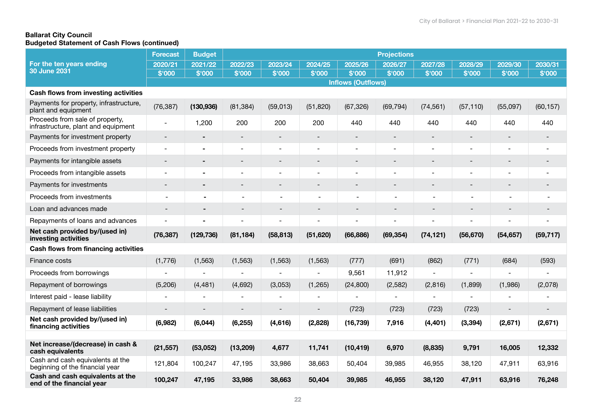### Ballarat City Council Budgeted Statement of Cash Flows (continued)

|                                                                        | <b>Forecast</b> | <b>Budget</b>  |           |                |                              |                           | <b>Projections</b> |                          |                |           |           |
|------------------------------------------------------------------------|-----------------|----------------|-----------|----------------|------------------------------|---------------------------|--------------------|--------------------------|----------------|-----------|-----------|
| For the ten years ending                                               | 2020/21         | 2021/22        | 2022/23   | 2023/24        | 2024/25                      | 2025/26                   | 2026/27            | 2027/28                  | 2028/29        | 2029/30   | 2030/31   |
| <b>30 June 2031</b>                                                    | \$'000          | \$'000         | \$'000    | \$'000         | \$'000                       | \$'000                    | \$'000             | \$'000                   | \$'000         | \$'000    | \$'000    |
|                                                                        |                 |                |           |                |                              | <b>Inflows (Outflows)</b> |                    |                          |                |           |           |
| <b>Cash flows from investing activities</b>                            |                 |                |           |                |                              |                           |                    |                          |                |           |           |
| Payments for property, infrastructure,<br>plant and equipment          | (76, 387)       | (130, 936)     | (81, 384) | (59, 013)      | (51, 820)                    | (67, 326)                 | (69, 794)          | (74, 561)                | (57, 110)      | (55,097)  | (60, 157) |
| Proceeds from sale of property,<br>infrastructure, plant and equipment |                 | 1,200          | 200       | 200            | 200                          | 440                       | 440                | 440                      | 440            | 440       | 440       |
| Payments for investment property                                       |                 |                |           |                |                              |                           |                    |                          |                |           |           |
| Proceeds from investment property                                      | $\blacksquare$  | $\blacksquare$ |           | $\overline{a}$ | $\overline{a}$               | ÷                         | $\overline{a}$     | $\blacksquare$           |                |           | ٠         |
| Payments for intangible assets                                         |                 |                |           |                |                              |                           |                    |                          |                |           |           |
| Proceeds from intangible assets                                        |                 |                |           |                |                              |                           |                    |                          |                |           |           |
| Payments for investments                                               |                 |                |           |                |                              |                           |                    |                          |                |           |           |
| Proceeds from investments                                              |                 | $\blacksquare$ |           |                |                              |                           |                    | $\overline{\phantom{a}}$ | $\blacksquare$ |           |           |
| Loan and advances made                                                 |                 |                |           |                |                              |                           |                    |                          |                |           |           |
| Repayments of loans and advances                                       |                 |                |           |                |                              |                           |                    |                          |                |           |           |
| Net cash provided by/(used in)<br>investing activities                 | (76, 387)       | (129, 736)     | (81, 184) | (58, 813)      | (51, 620)                    | (66, 886)                 | (69, 354)          | (74, 121)                | (56, 670)      | (54, 657) | (59, 717) |
| <b>Cash flows from financing activities</b>                            |                 |                |           |                |                              |                           |                    |                          |                |           |           |
| Finance costs                                                          | (1,776)         | (1, 563)       | (1, 563)  | (1, 563)       | (1, 563)                     | (777)                     | (691)              | (862)                    | (771)          | (684)     | (593)     |
| Proceeds from borrowings                                               |                 |                |           |                | $\qquad \qquad \blacksquare$ | 9,561                     | 11,912             | $\overline{\phantom{0}}$ |                |           |           |
| Repayment of borrowings                                                | (5,206)         | (4, 481)       | (4,692)   | (3,053)        | (1,265)                      | (24, 800)                 | (2, 582)           | (2,816)                  | (1,899)        | (1,986)   | (2,078)   |
| Interest paid - lease liability                                        |                 |                |           |                | ۰                            |                           |                    |                          |                |           |           |
| Repayment of lease liabilities                                         |                 |                |           |                |                              | (723)                     | (723)              | (723)                    | (723)          |           |           |
| Net cash provided by/(used in)<br>financing activities                 | (6,982)         | (6,044)        | (6, 255)  | (4,616)        | (2,828)                      | (16, 739)                 | 7,916              | (4, 401)                 | (3, 394)       | (2,671)   | (2,671)   |
|                                                                        |                 |                |           |                |                              |                           |                    |                          |                |           |           |
| Net increase/(decrease) in cash &<br>cash equivalents                  | (21, 557)       | (53,052)       | (13, 209) | 4,677          | 11,741                       | (10, 419)                 | 6,970              | (8,835)                  | 9,791          | 16,005    | 12,332    |
| Cash and cash equivalents at the<br>beginning of the financial year    | 121,804         | 100,247        | 47,195    | 33,986         | 38,663                       | 50,404                    | 39,985             | 46,955                   | 38,120         | 47,911    | 63,916    |
| Cash and cash equivalents at the<br>end of the financial year          | 100,247         | 47,195         | 33,986    | 38,663         | 50,404                       | 39,985                    | 46,955             | 38,120                   | 47,911         | 63,916    | 76,248    |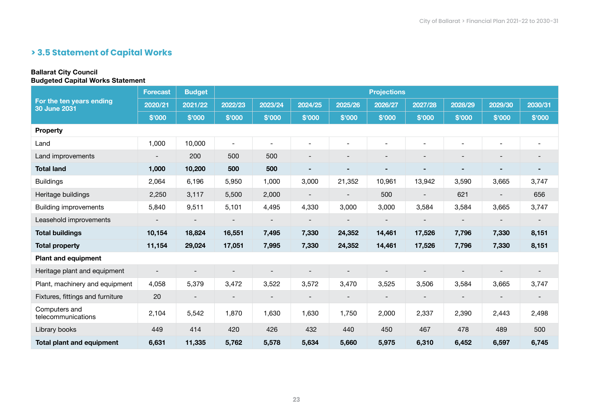# **> 3.5 Statement of Capital Works**

#### Ballarat City Council Budgeted Capital Works Statement

|                                                 | <b>Forecast</b>          | <b>Budget</b>            |                          |                          |                              |                          | <b>Projections</b> |                          |                          |                          |                          |
|-------------------------------------------------|--------------------------|--------------------------|--------------------------|--------------------------|------------------------------|--------------------------|--------------------|--------------------------|--------------------------|--------------------------|--------------------------|
| For the ten years ending<br><b>30 June 2031</b> | 2020/21                  | 2021/22                  | 2022/23                  | 2023/24                  | 2024/25                      | 2025/26                  | 2026/27            | 2027/28                  | 2028/29                  | 2029/30                  | 2030/31                  |
|                                                 | \$'000                   | \$'000                   | \$'000                   | \$'000                   | \$'000                       | \$'000                   | \$'000             | \$'000                   | \$'000                   | \$'000                   | \$'000                   |
| <b>Property</b>                                 |                          |                          |                          |                          |                              |                          |                    |                          |                          |                          |                          |
| Land                                            | 1,000                    | 10,000                   | $\sim$                   | $\blacksquare$           | $\blacksquare$               |                          |                    |                          |                          | $\blacksquare$           | $\blacksquare$           |
| Land improvements                               | $\overline{\phantom{a}}$ | 200                      | 500                      | 500                      | -                            |                          |                    |                          | $\overline{\phantom{a}}$ | $\overline{\phantom{a}}$ | $\overline{\phantom{a}}$ |
| <b>Total land</b>                               | 1,000                    | 10,200                   | 500                      | 500                      |                              |                          |                    |                          |                          |                          |                          |
| <b>Buildings</b>                                | 2,064                    | 6,196                    | 5,950                    | 1,000                    | 3,000                        | 21,352                   | 10,961             | 13,942                   | 3,590                    | 3,665                    | 3,747                    |
| Heritage buildings                              | 2,250                    | 3,117                    | 5,500                    | 2,000                    | $\overline{\phantom{0}}$     |                          | 500                |                          | 621                      | $\blacksquare$           | 656                      |
| <b>Building improvements</b>                    | 5,840                    | 9,511                    | 5,101                    | 4,495                    | 4,330                        | 3,000                    | 3,000              | 3,584                    | 3,584                    | 3,665                    | 3,747                    |
| Leasehold improvements                          |                          | $\overline{\phantom{a}}$ | $\overline{\phantom{a}}$ | $\overline{\phantom{a}}$ | $\qquad \qquad$              | $\overline{\phantom{a}}$ |                    |                          | $\overline{\phantom{a}}$ | $\overline{\phantom{a}}$ | $\overline{\phantom{a}}$ |
| <b>Total buildings</b>                          | 10,154                   | 18,824                   | 16,551                   | 7,495                    | 7,330                        | 24,352                   | 14,461             | 17,526                   | 7,796                    | 7,330                    | 8,151                    |
| <b>Total property</b>                           | 11,154                   | 29,024                   | 17,051                   | 7,995                    | 7,330                        | 24,352                   | 14,461             | 17,526                   | 7,796                    | 7,330                    | 8,151                    |
| <b>Plant and equipment</b>                      |                          |                          |                          |                          |                              |                          |                    |                          |                          |                          |                          |
| Heritage plant and equipment                    |                          |                          | $\overline{\phantom{a}}$ | $\overline{\phantom{a}}$ | $\qquad \qquad \blacksquare$ | $\overline{\phantom{a}}$ |                    | $\overline{\phantom{a}}$ |                          |                          | $\overline{\phantom{a}}$ |
| Plant, machinery and equipment                  | 4,058                    | 5,379                    | 3,472                    | 3,522                    | 3,572                        | 3,470                    | 3,525              | 3,506                    | 3,584                    | 3,665                    | 3,747                    |
| Fixtures, fittings and furniture                | 20                       | $\overline{\phantom{a}}$ | $\overline{\phantom{a}}$ |                          | $\overline{\phantom{0}}$     |                          |                    |                          |                          |                          | $\overline{\phantom{a}}$ |
| Computers and<br>telecommunications             | 2,104                    | 5,542                    | 1,870                    | 1,630                    | 1,630                        | 1,750                    | 2,000              | 2,337                    | 2,390                    | 2,443                    | 2,498                    |
| Library books                                   | 449                      | 414                      | 420                      | 426                      | 432                          | 440                      | 450                | 467                      | 478                      | 489                      | 500                      |
| <b>Total plant and equipment</b>                | 6,631                    | 11,335                   | 5,762                    | 5,578                    | 5,634                        | 5,660                    | 5,975              | 6,310                    | 6,452                    | 6,597                    | 6,745                    |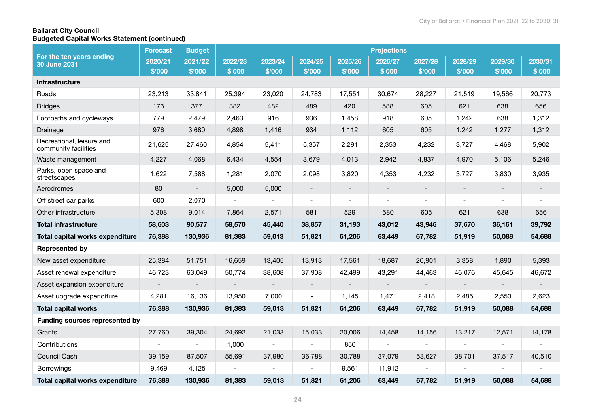### Ballarat City Council Budgeted Capital Works Statement (continued)

|                                                   | <b>Forecast</b>          | <b>Budget</b>            |                          |                          |                          |                          | <b>Projections</b>       |         |                          |                          |                          |
|---------------------------------------------------|--------------------------|--------------------------|--------------------------|--------------------------|--------------------------|--------------------------|--------------------------|---------|--------------------------|--------------------------|--------------------------|
| For the ten years ending<br><b>30 June 2031</b>   | 2020/21                  | 2021/22                  | 2022/23                  | 2023/24                  | 2024/25                  | 2025/26                  | 2026/27                  | 2027/28 | 2028/29                  | 2029/30                  | 2030/31                  |
|                                                   | \$'000                   | \$'000                   | \$'000                   | \$'000                   | \$'000                   | \$'000                   | \$'000                   | \$'000  | \$'000                   | \$'000                   | \$'000                   |
| Infrastructure                                    |                          |                          |                          |                          |                          |                          |                          |         |                          |                          |                          |
| Roads                                             | 23,213                   | 33,841                   | 25,394                   | 23,020                   | 24,783                   | 17,551                   | 30,674                   | 28,227  | 21,519                   | 19,566                   | 20,773                   |
| <b>Bridges</b>                                    | 173                      | 377                      | 382                      | 482                      | 489                      | 420                      | 588                      | 605     | 621                      | 638                      | 656                      |
| Footpaths and cycleways                           | 779                      | 2,479                    | 2,463                    | 916                      | 936                      | 1,458                    | 918                      | 605     | 1,242                    | 638                      | 1,312                    |
| Drainage                                          | 976                      | 3,680                    | 4,898                    | 1,416                    | 934                      | 1,112                    | 605                      | 605     | 1,242                    | 1,277                    | 1,312                    |
| Recreational, leisure and<br>community facilities | 21,625                   | 27,460                   | 4,854                    | 5,411                    | 5,357                    | 2,291                    | 2,353                    | 4,232   | 3,727                    | 4,468                    | 5,902                    |
| Waste management                                  | 4,227                    | 4,068                    | 6,434                    | 4,554                    | 3,679                    | 4,013                    | 2,942                    | 4,837   | 4,970                    | 5,106                    | 5,246                    |
| Parks, open space and<br>streetscapes             | 1,622                    | 7,588                    | 1,281                    | 2,070                    | 2,098                    | 3,820                    | 4,353                    | 4,232   | 3,727                    | 3,830                    | 3,935                    |
| Aerodromes                                        | 80                       | $\overline{\phantom{a}}$ | 5,000                    | 5,000                    | $\overline{\phantom{a}}$ | $\overline{\phantom{a}}$ | $\overline{\phantom{a}}$ |         | $\overline{\phantom{a}}$ | $\overline{\phantom{a}}$ | $\overline{\phantom{a}}$ |
| Off street car parks                              | 600                      | 2,070                    | $\overline{\phantom{a}}$ |                          | $\blacksquare$           | $\blacksquare$           | $\overline{\phantom{a}}$ |         | $\overline{\phantom{a}}$ | $\sim$                   | $\blacksquare$           |
| Other infrastructure                              | 5,308                    | 9,014                    | 7,864                    | 2,571                    | 581                      | 529                      | 580                      | 605     | 621                      | 638                      | 656                      |
| <b>Total infrastructure</b>                       | 58,603                   | 90,577                   | 58,570                   | 45,440                   | 38,857                   | 31,193                   | 43,012                   | 43,946  | 37,670                   | 36,161                   | 39,792                   |
| Total capital works expenditure                   | 76,388                   | 130,936                  | 81,383                   | 59,013                   | 51,821                   | 61,206                   | 63,449                   | 67,782  | 51,919                   | 50,088                   | 54,688                   |
| <b>Represented by</b>                             |                          |                          |                          |                          |                          |                          |                          |         |                          |                          |                          |
| New asset expenditure                             | 25,384                   | 51,751                   | 16,659                   | 13,405                   | 13,913                   | 17,561                   | 18,687                   | 20,901  | 3,358                    | 1,890                    | 5,393                    |
| Asset renewal expenditure                         | 46,723                   | 63,049                   | 50,774                   | 38,608                   | 37,908                   | 42,499                   | 43,291                   | 44,463  | 46,076                   | 45,645                   | 46,672                   |
| Asset expansion expenditure                       | $\overline{\phantom{a}}$ |                          | $\blacksquare$           | $\blacksquare$           | $\overline{\phantom{a}}$ | $\blacksquare$           | $\blacksquare$           |         | $\blacksquare$           | $\blacksquare$           |                          |
| Asset upgrade expenditure                         | 4,281                    | 16,136                   | 13,950                   | 7,000                    | $\overline{\phantom{a}}$ | 1,145                    | 1,471                    | 2,418   | 2,485                    | 2,553                    | 2,623                    |
| <b>Total capital works</b>                        | 76,388                   | 130,936                  | 81,383                   | 59,013                   | 51,821                   | 61,206                   | 63,449                   | 67,782  | 51,919                   | 50,088                   | 54,688                   |
| <b>Funding sources represented by</b>             |                          |                          |                          |                          |                          |                          |                          |         |                          |                          |                          |
| Grants                                            | 27,760                   | 39,304                   | 24,692                   | 21,033                   | 15,033                   | 20,006                   | 14,458                   | 14,156  | 13,217                   | 12,571                   | 14,178                   |
| Contributions                                     |                          |                          | 1,000                    | $\overline{\phantom{a}}$ |                          | 850                      |                          |         |                          |                          |                          |
| Council Cash                                      | 39,159                   | 87,507                   | 55,691                   | 37,980                   | 36,788                   | 30,788                   | 37,079                   | 53,627  | 38,701                   | 37,517                   | 40,510                   |
| <b>Borrowings</b>                                 | 9,469                    | 4,125                    |                          |                          |                          | 9,561                    | 11,912                   |         |                          |                          |                          |
| <b>Total capital works expenditure</b>            | 76,388                   | 130,936                  | 81,383                   | 59,013                   | 51,821                   | 61,206                   | 63,449                   | 67,782  | 51,919                   | 50,088                   | 54,688                   |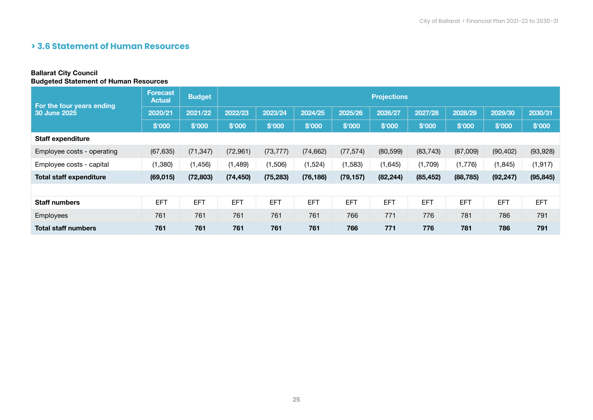# **> 3.6 Statement of Human Resources**

#### Ballarat City Council Budgeted Statement of Human Resources

| For the four years ending      | Forecast<br><b>Actual</b> | <b>Budget</b> | <b>Projections</b> |            |            |            |            |            |            |            |            |  |  |
|--------------------------------|---------------------------|---------------|--------------------|------------|------------|------------|------------|------------|------------|------------|------------|--|--|
| 30 June 2025                   | 2020/21                   | 2021/22       | 2022/23            | 2023/24    | 2024/25    | 2025/26    | 2026/27    | 2027/28    | 2028/29    | 2029/30    | 2030/31    |  |  |
|                                | \$'000                    | \$'000        | \$'000             | \$'000     | \$'000     | \$'000     | \$'000     | \$'000     | \$'000     | \$'000     | \$'000     |  |  |
| <b>Staff expenditure</b>       |                           |               |                    |            |            |            |            |            |            |            |            |  |  |
| Employee costs - operating     | (67, 635)                 | (71, 347)     | (72, 961)          | (73, 777)  | (74, 662)  | (77, 574)  | (80, 599)  | (83, 743)  | (87,009)   | (90, 402)  | (93, 928)  |  |  |
| Employee costs - capital       | (1, 380)                  | (1, 456)      | (1,489)            | (1,506)    | (1,524)    | (1, 583)   | (1,645)    | (1,709)    | (1,776)    | (1, 845)   | (1, 917)   |  |  |
| <b>Total staff expenditure</b> | (69, 015)                 | (72, 803)     | (74, 450)          | (75, 283)  | (76, 186)  | (79, 157)  | (82, 244)  | (85, 452)  | (88, 785)  | (92, 247)  | (95, 845)  |  |  |
|                                |                           |               |                    |            |            |            |            |            |            |            |            |  |  |
| <b>Staff numbers</b>           | <b>EFT</b>                | <b>EFT</b>    | <b>EFT</b>         | <b>EFT</b> | <b>EFT</b> | <b>EFT</b> | <b>EFT</b> | <b>EFT</b> | <b>EFT</b> | <b>EFT</b> | <b>EFT</b> |  |  |
| Employees                      | 761                       | 761           | 761                | 761        | 761        | 766        | 771        | 776        | 781        | 786        | 791        |  |  |
| <b>Total staff numbers</b>     | 761                       | 761           | 761                | 761        | 761        | 766        | 771        | 776        | 781        | 786        | 791        |  |  |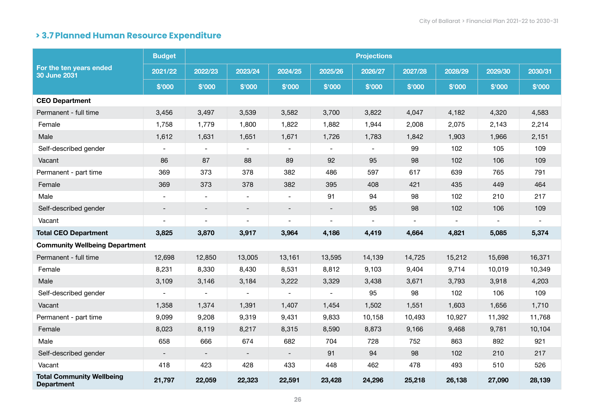# **> 3.7 Planned Human Resource Expenditure**

| For the ten years ended<br>30 June 2031               | <b>Budget</b>            |                          |                              |                          |                          | <b>Projections</b> |         |         |         |         |
|-------------------------------------------------------|--------------------------|--------------------------|------------------------------|--------------------------|--------------------------|--------------------|---------|---------|---------|---------|
|                                                       | 2021/22                  | 2022/23                  | 2023/24                      | 2024/25                  | 2025/26                  | 2026/27            | 2027/28 | 2028/29 | 2029/30 | 2030/31 |
|                                                       | \$'000                   | \$'000                   | \$'000                       | \$'000                   | \$'000                   | \$'000             | \$'000  | \$'000  | \$'000  | \$'000  |
| <b>CEO Department</b>                                 |                          |                          |                              |                          |                          |                    |         |         |         |         |
| Permanent - full time                                 | 3,456                    | 3,497                    | 3,539                        | 3,582                    | 3,700                    | 3,822              | 4,047   | 4,182   | 4,320   | 4,583   |
| Female                                                | 1,758                    | 1,779                    | 1,800                        | 1,822                    | 1,882                    | 1,944              | 2,008   | 2,075   | 2,143   | 2,214   |
| Male                                                  | 1,612                    | 1,631                    | 1,651                        | 1,671                    | 1,726                    | 1,783              | 1,842   | 1,903   | 1,966   | 2,151   |
| Self-described gender                                 |                          |                          |                              |                          |                          |                    | 99      | 102     | 105     | 109     |
| Vacant                                                | 86                       | 87                       | 88                           | 89                       | 92                       | 95                 | 98      | 102     | 106     | 109     |
| Permanent - part time                                 | 369                      | 373                      | 378                          | 382                      | 486                      | 597                | 617     | 639     | 765     | 791     |
| Female                                                | 369                      | 373                      | 378                          | 382                      | 395                      | 408                | 421     | 435     | 449     | 464     |
| Male                                                  | $\sim$                   | $\blacksquare$           | $\blacksquare$               | $\blacksquare$           | 91                       | 94                 | 98      | 102     | 210     | 217     |
| Self-described gender                                 | $\overline{\phantom{a}}$ | $\overline{\phantom{a}}$ | $\qquad \qquad \blacksquare$ | $\overline{\phantom{a}}$ | $\overline{\phantom{a}}$ | 95                 | 98      | 102     | 106     | 109     |
| Vacant                                                |                          |                          | $\blacksquare$               |                          | $\overline{\phantom{0}}$ |                    |         |         |         |         |
| <b>Total CEO Department</b>                           | 3,825                    | 3,870                    | 3,917                        | 3,964                    | 4,186                    | 4,419              | 4,664   | 4,821   | 5,085   | 5,374   |
| <b>Community Wellbeing Department</b>                 |                          |                          |                              |                          |                          |                    |         |         |         |         |
| Permanent - full time                                 | 12,698                   | 12,850                   | 13,005                       | 13,161                   | 13,595                   | 14,139             | 14,725  | 15,212  | 15,698  | 16,371  |
| Female                                                | 8,231                    | 8,330                    | 8,430                        | 8,531                    | 8,812                    | 9,103              | 9,404   | 9,714   | 10,019  | 10,349  |
| Male                                                  | 3,109                    | 3,146                    | 3,184                        | 3,222                    | 3,329                    | 3,438              | 3,671   | 3,793   | 3,918   | 4,203   |
| Self-described gender                                 |                          | $\overline{\phantom{a}}$ | $\blacksquare$               |                          | $\overline{\phantom{a}}$ | 95                 | 98      | 102     | 106     | 109     |
| Vacant                                                | 1,358                    | 1,374                    | 1,391                        | 1,407                    | 1,454                    | 1,502              | 1,551   | 1,603   | 1,656   | 1,710   |
| Permanent - part time                                 | 9,099                    | 9,208                    | 9,319                        | 9,431                    | 9,833                    | 10,158             | 10,493  | 10,927  | 11,392  | 11,768  |
| Female                                                | 8,023                    | 8,119                    | 8,217                        | 8,315                    | 8,590                    | 8,873              | 9,166   | 9,468   | 9,781   | 10,104  |
| Male                                                  | 658                      | 666                      | 674                          | 682                      | 704                      | 728                | 752     | 863     | 892     | 921     |
| Self-described gender                                 |                          |                          |                              |                          | 91                       | 94                 | 98      | 102     | 210     | 217     |
| Vacant                                                | 418                      | 423                      | 428                          | 433                      | 448                      | 462                | 478     | 493     | 510     | 526     |
| <b>Total Community Wellbeing</b><br><b>Department</b> | 21,797                   | 22,059                   | 22,323                       | 22,591                   | 23,428                   | 24,296             | 25,218  | 26,138  | 27,090  | 28,139  |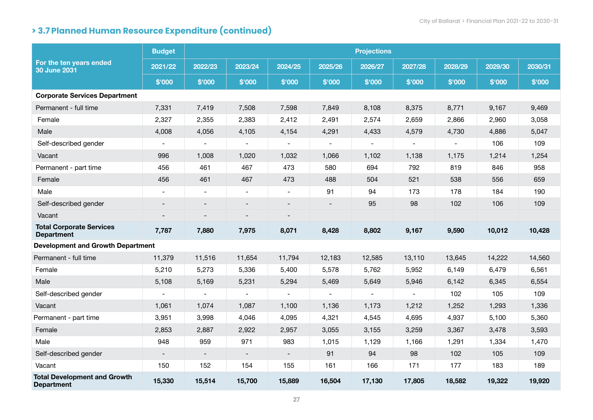|                                                          | <b>Budget</b>            | <b>Projections</b>       |                          |                          |                          |         |                |         |         |         |  |  |  |
|----------------------------------------------------------|--------------------------|--------------------------|--------------------------|--------------------------|--------------------------|---------|----------------|---------|---------|---------|--|--|--|
| For the ten years ended<br><b>30 June 2031</b>           | 2021/22                  | 2022/23                  | 2023/24                  | 2024/25                  | 2025/26                  | 2026/27 | 2027/28        | 2028/29 | 2029/30 | 2030/31 |  |  |  |
|                                                          | \$'000                   | \$'000                   | \$'000                   | \$'000                   | \$'000                   | \$'000  | \$'000         | \$'000  | \$'000  | \$'000  |  |  |  |
| <b>Corporate Services Department</b>                     |                          |                          |                          |                          |                          |         |                |         |         |         |  |  |  |
| Permanent - full time                                    | 7,331                    | 7,419                    | 7,508                    | 7,598                    | 7,849                    | 8,108   | 8,375          | 8,771   | 9,167   | 9,469   |  |  |  |
| Female                                                   | 2,327                    | 2,355                    | 2,383                    | 2,412                    | 2,491                    | 2,574   | 2,659          | 2,866   | 2,960   | 3,058   |  |  |  |
| Male                                                     | 4,008                    | 4,056                    | 4,105                    | 4,154                    | 4,291                    | 4,433   | 4,579          | 4,730   | 4,886   | 5,047   |  |  |  |
| Self-described gender                                    | $\blacksquare$           | $\overline{\phantom{a}}$ | $\overline{\phantom{a}}$ |                          |                          |         |                |         | 106     | 109     |  |  |  |
| Vacant                                                   | 996                      | 1,008                    | 1,020                    | 1,032                    | 1,066                    | 1,102   | 1,138          | 1,175   | 1,214   | 1,254   |  |  |  |
| Permanent - part time                                    | 456                      | 461                      | 467                      | 473                      | 580                      | 694     | 792            | 819     | 846     | 958     |  |  |  |
| Female                                                   | 456                      | 461                      | 467                      | 473                      | 488                      | 504     | 521            | 538     | 556     | 659     |  |  |  |
| Male                                                     | $\overline{\phantom{a}}$ | $\overline{\phantom{a}}$ | $\overline{\phantom{a}}$ | $\overline{\phantom{a}}$ | 91                       | 94      | 173            | 178     | 184     | 190     |  |  |  |
| Self-described gender                                    |                          |                          |                          |                          |                          | 95      | 98             | 102     | 106     | 109     |  |  |  |
| Vacant                                                   |                          |                          |                          |                          |                          |         |                |         |         |         |  |  |  |
| <b>Total Corporate Services</b><br><b>Department</b>     | 7,787                    | 7,880                    | 7,975                    | 8,071                    | 8,428                    | 8,802   | 9,167          | 9,590   | 10,012  | 10,428  |  |  |  |
| <b>Development and Growth Department</b>                 |                          |                          |                          |                          |                          |         |                |         |         |         |  |  |  |
| Permanent - full time                                    | 11,379                   | 11,516                   | 11,654                   | 11,794                   | 12,183                   | 12,585  | 13,110         | 13,645  | 14,222  | 14,560  |  |  |  |
| Female                                                   | 5,210                    | 5,273                    | 5,336                    | 5,400                    | 5,578                    | 5,762   | 5,952          | 6,149   | 6,479   | 6,561   |  |  |  |
| Male                                                     | 5,108                    | 5,169                    | 5,231                    | 5,294                    | 5,469                    | 5,649   | 5,946          | 6,142   | 6,345   | 6,554   |  |  |  |
| Self-described gender                                    | $\blacksquare$           | $\blacksquare$           | $\blacksquare$           | $\overline{\phantom{a}}$ | $\overline{\phantom{a}}$ |         | $\blacksquare$ | 102     | 105     | 109     |  |  |  |
| Vacant                                                   | 1,061                    | 1,074                    | 1,087                    | 1,100                    | 1,136                    | 1,173   | 1,212          | 1,252   | 1,293   | 1,336   |  |  |  |
| Permanent - part time                                    | 3,951                    | 3,998                    | 4,046                    | 4,095                    | 4,321                    | 4,545   | 4,695          | 4,937   | 5,100   | 5,360   |  |  |  |
| Female                                                   | 2,853                    | 2,887                    | 2,922                    | 2,957                    | 3,055                    | 3,155   | 3,259          | 3,367   | 3,478   | 3,593   |  |  |  |
| Male                                                     | 948                      | 959                      | 971                      | 983                      | 1,015                    | 1,129   | 1,166          | 1,291   | 1,334   | 1,470   |  |  |  |
| Self-described gender                                    | $\blacksquare$           | $\blacksquare$           | $\overline{\phantom{a}}$ | $\blacksquare$           | 91                       | 94      | 98             | 102     | 105     | 109     |  |  |  |
| Vacant                                                   | 150                      | 152                      | 154                      | 155                      | 161                      | 166     | 171            | 177     | 183     | 189     |  |  |  |
| <b>Total Development and Growth</b><br><b>Department</b> | 15,330                   | 15,514                   | 15,700                   | 15,889                   | 16,504                   | 17,130  | 17,805         | 18,582  | 19,322  | 19,920  |  |  |  |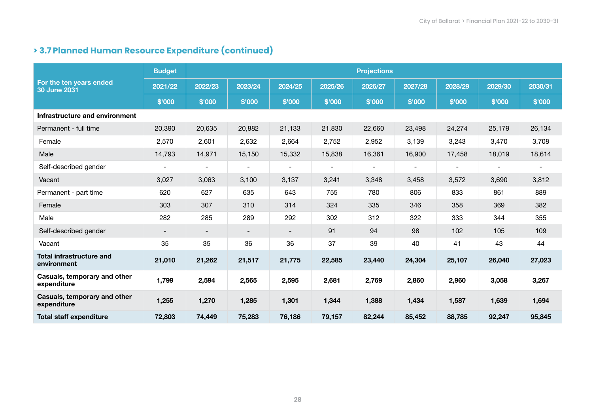|                                                | <b>Budget</b>            |                          |                          |                          |                | <b>Projections</b>       |                          |                          |                          |         |
|------------------------------------------------|--------------------------|--------------------------|--------------------------|--------------------------|----------------|--------------------------|--------------------------|--------------------------|--------------------------|---------|
| For the ten years ended<br><b>30 June 2031</b> | 2021/22                  | 2022/23                  | 2023/24                  | 2024/25                  | 2025/26        | 2026/27                  | 2027/28                  | 2028/29                  | 2029/30                  | 2030/31 |
|                                                | \$'000                   | \$'000                   | \$'000                   | \$'000                   | \$'000         | \$'000                   | \$'000                   | \$'000                   | \$'000                   | \$'000  |
| Infrastructure and environment                 |                          |                          |                          |                          |                |                          |                          |                          |                          |         |
| Permanent - full time                          | 20,390                   | 20,635                   | 20,882                   | 21,133                   | 21,830         | 22,660                   | 23,498                   | 24,274                   | 25,179                   | 26,134  |
| Female                                         | 2,570                    | 2,601                    | 2,632                    | 2,664                    | 2,752          | 2,952                    | 3,139                    | 3,243                    | 3,470                    | 3,708   |
| Male                                           | 14,793                   | 14,971                   | 15,150                   | 15,332                   | 15,838         | 16,361                   | 16,900                   | 17,458                   | 18,019                   | 18,614  |
| Self-described gender                          | $\overline{\phantom{a}}$ | $\overline{\phantom{a}}$ | $\blacksquare$           | $\overline{\phantom{a}}$ | $\blacksquare$ | $\overline{\phantom{a}}$ | $\overline{\phantom{a}}$ | $\overline{\phantom{a}}$ | $\overline{\phantom{a}}$ |         |
| Vacant                                         | 3,027                    | 3,063                    | 3,100                    | 3,137                    | 3,241          | 3,348                    | 3,458                    | 3,572                    | 3,690                    | 3,812   |
| Permanent - part time                          | 620                      | 627                      | 635                      | 643                      | 755            | 780                      | 806                      | 833                      | 861                      | 889     |
| Female                                         | 303                      | 307                      | 310                      | 314                      | 324            | 335                      | 346                      | 358                      | 369                      | 382     |
| Male                                           | 282                      | 285                      | 289                      | 292                      | 302            | 312                      | 322                      | 333                      | 344                      | 355     |
| Self-described gender                          | $\overline{\phantom{a}}$ | $\overline{\phantom{a}}$ | $\overline{\phantom{a}}$ | $\overline{\phantom{a}}$ | 91             | 94                       | 98                       | 102                      | 105                      | 109     |
| Vacant                                         | 35                       | 35                       | 36                       | 36                       | 37             | 39                       | 40                       | 41                       | 43                       | 44      |
| <b>Total infrastructure and</b><br>environment | 21,010                   | 21,262                   | 21,517                   | 21,775                   | 22,585         | 23,440                   | 24,304                   | 25,107                   | 26,040                   | 27,023  |
| Casuals, temporary and other<br>expenditure    | 1,799                    | 2,594                    | 2,565                    | 2,595                    | 2,681          | 2,769                    | 2,860                    | 2,960                    | 3,058                    | 3,267   |
| Casuals, temporary and other<br>expenditure    | 1,255                    | 1,270                    | 1,285                    | 1,301                    | 1,344          | 1,388                    | 1,434                    | 1,587                    | 1,639                    | 1,694   |
| <b>Total staff expenditure</b>                 | 72,803                   | 74,449                   | 75,283                   | 76,186                   | 79,157         | 82,244                   | 85,452                   | 88,785                   | 92,247                   | 95,845  |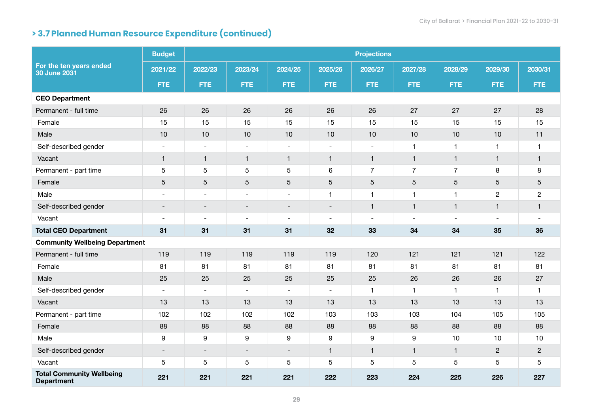|                                                       | <b>Budget</b>            | <b>Projections</b>       |                          |                          |                          |                          |                          |                |                |                |  |  |  |
|-------------------------------------------------------|--------------------------|--------------------------|--------------------------|--------------------------|--------------------------|--------------------------|--------------------------|----------------|----------------|----------------|--|--|--|
| For the ten years ended<br>30 June 2031               | 2021/22                  | 2022/23                  | 2023/24                  | 2024/25                  | 2025/26                  | 2026/27                  | 2027/28                  | 2028/29        | 2029/30        | 2030/31        |  |  |  |
|                                                       | <b>FTE</b>               | <b>FTE</b>               | <b>FTE</b>               | FTE.                     | <b>FTE</b>               | <b>FTE</b>               | <b>FTE</b>               | <b>FTE</b>     | <b>FTE</b>     | <b>FTE</b>     |  |  |  |
| <b>CEO Department</b>                                 |                          |                          |                          |                          |                          |                          |                          |                |                |                |  |  |  |
| Permanent - full time                                 | 26                       | 26                       | 26                       | 26                       | 26                       | 26                       | 27                       | 27             | 27             | 28             |  |  |  |
| Female                                                | 15                       | 15                       | 15                       | 15                       | 15                       | 15                       | 15                       | 15             | 15             | 15             |  |  |  |
| Male                                                  | 10                       | 10                       | 10                       | $10$                     | 10                       | 10                       | 10                       | 10             | 10             | 11             |  |  |  |
| Self-described gender                                 | $\overline{\phantom{a}}$ | $\overline{\phantom{a}}$ | $\overline{\phantom{a}}$ | $\overline{\phantom{a}}$ | $\overline{\phantom{a}}$ | $\overline{\phantom{a}}$ | 1                        | 1              | $\mathbf{1}$   | $\mathbf{1}$   |  |  |  |
| Vacant                                                | $\mathbf{1}$             | $\mathbf{1}$             | $\mathbf{1}$             | $\mathbf{1}$             | $\mathbf{1}$             | $\mathbf{1}$             | $\mathbf{1}$             | $\mathbf{1}$   | $\mathbf{1}$   | $\mathbf{1}$   |  |  |  |
| Permanent - part time                                 | 5                        | $\overline{5}$           | $\overline{5}$           | 5                        | $\,6\,$                  | $\overline{7}$           | $\overline{7}$           | $\overline{7}$ | $\bf 8$        | $\bf 8$        |  |  |  |
| Female                                                | $\sqrt{5}$               | $\mathbf 5$              | $\mathbf 5$              | 5                        | $\mathbf 5$              | 5                        | 5                        | 5              | $\sqrt{5}$     | $\sqrt{5}$     |  |  |  |
| Male                                                  | $\sim$                   | $\blacksquare$           | $\sim$                   | $\blacksquare$           | $\mathbf{1}$             | 1                        | 1                        | $\mathbf 1$    | $\overline{c}$ | $\overline{c}$ |  |  |  |
| Self-described gender                                 | $\overline{\phantom{a}}$ | $\overline{\phantom{a}}$ | $\overline{\phantom{a}}$ | $\overline{\phantom{a}}$ | $\blacksquare$           | $\mathbf{1}$             | $\mathbf{1}$             | $\mathbf{1}$   | $\mathbf{1}$   | $\mathbf{1}$   |  |  |  |
| Vacant                                                | $\overline{\phantom{a}}$ | $\overline{\phantom{a}}$ | $\sim$                   | $\overline{\phantom{a}}$ | $\blacksquare$           | $\overline{\phantom{a}}$ | $\overline{\phantom{a}}$ |                | $\blacksquare$ |                |  |  |  |
| <b>Total CEO Department</b>                           | 31                       | 31                       | 31                       | 31                       | 32                       | 33                       | 34                       | 34             | 35             | 36             |  |  |  |
| <b>Community Wellbeing Department</b>                 |                          |                          |                          |                          |                          |                          |                          |                |                |                |  |  |  |
| Permanent - full time                                 | 119                      | 119                      | 119                      | 119                      | 119                      | 120                      | 121                      | 121            | 121            | 122            |  |  |  |
| Female                                                | 81                       | 81                       | 81                       | 81                       | 81                       | 81                       | 81                       | 81             | 81             | 81             |  |  |  |
| Male                                                  | 25                       | 25                       | 25                       | 25                       | 25                       | 25                       | 26                       | 26             | 26             | 27             |  |  |  |
| Self-described gender                                 | $\overline{\phantom{a}}$ | $\overline{\phantom{a}}$ | $\overline{\phantom{a}}$ | $\overline{\phantom{a}}$ | $\sim$                   | 1                        | 1                        | 1              | $\mathbf{1}$   | $\mathbf{1}$   |  |  |  |
| Vacant                                                | 13                       | 13                       | 13                       | 13                       | 13                       | 13                       | 13                       | 13             | 13             | 13             |  |  |  |
| Permanent - part time                                 | 102                      | 102                      | 102                      | 102                      | 103                      | 103                      | 103                      | 104            | 105            | 105            |  |  |  |
| Female                                                | 88                       | 88                       | 88                       | 88                       | 88                       | 88                       | 88                       | 88             | 88             | 88             |  |  |  |
| Male                                                  | 9                        | 9                        | 9                        | 9                        | $\boldsymbol{9}$         | 9                        | $\boldsymbol{9}$         | 10             | 10             | $10$           |  |  |  |
| Self-described gender                                 | $\overline{\phantom{a}}$ | $\overline{\phantom{a}}$ | $\overline{\phantom{a}}$ | $\overline{\phantom{a}}$ | $\mathbf{1}$             | $\mathbf{1}$             | $\mathbf{1}$             | $\mathbf{1}$   | $\overline{2}$ | $\overline{2}$ |  |  |  |
| Vacant                                                | 5                        | 5                        | $\sqrt{5}$               | 5                        | $\mathbf 5$              | 5                        | 5                        | 5              | $\sqrt{5}$     | 5              |  |  |  |
| <b>Total Community Wellbeing</b><br><b>Department</b> | 221                      | 221                      | 221                      | 221                      | 222                      | 223                      | 224                      | 225            | 226            | 227            |  |  |  |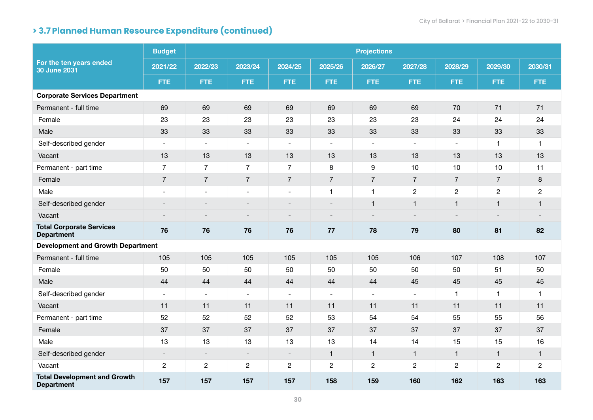|                                                          | <b>Budget</b>            |                          |                          |                          |                          | <b>Projections</b>       |                |                |                |                |
|----------------------------------------------------------|--------------------------|--------------------------|--------------------------|--------------------------|--------------------------|--------------------------|----------------|----------------|----------------|----------------|
| For the ten years ended<br>30 June 2031                  | 2021/22                  | 2022/23                  | 2023/24                  | 2024/25                  | 2025/26                  | 2026/27                  | 2027/28        | 2028/29        | 2029/30        | 2030/31        |
|                                                          | <b>FTE</b>               | <b>FTE</b>               | <b>FTE</b>               | FTE.                     | FTE.                     | <b>FTE</b>               | <b>FTE</b>     | <b>FTE</b>     | FTE.           | <b>FTE</b>     |
| <b>Corporate Services Department</b>                     |                          |                          |                          |                          |                          |                          |                |                |                |                |
| Permanent - full time                                    | 69                       | 69                       | 69                       | 69                       | 69                       | 69                       | 69             | 70             | 71             | 71             |
| Female                                                   | 23                       | 23                       | 23                       | 23                       | 23                       | 23                       | 23             | 24             | 24             | 24             |
| Male                                                     | 33                       | 33                       | 33                       | 33                       | 33                       | 33                       | 33             | 33             | 33             | 33             |
| Self-described gender                                    | $\overline{\phantom{a}}$ | $\blacksquare$           | $\blacksquare$           | $\blacksquare$           | $\blacksquare$           | $\blacksquare$           | $\blacksquare$ | $\blacksquare$ | $\mathbf{1}$   | $\mathbf{1}$   |
| Vacant                                                   | 13                       | 13                       | 13                       | 13                       | 13                       | 13                       | 13             | 13             | 13             | 13             |
| Permanent - part time                                    | $\overline{7}$           | $\overline{7}$           | $\overline{7}$           | $\overline{7}$           | 8                        | 9                        | 10             | 10             | 10             | 11             |
| Female                                                   | $\overline{7}$           | $\overline{7}$           | $\overline{7}$           | $\overline{7}$           | $\overline{7}$           | $\overline{7}$           | $\overline{7}$ | $\overline{7}$ | $\overline{7}$ | $\,8\,$        |
| Male                                                     | $\overline{\phantom{a}}$ | $\qquad \qquad$          | $\overline{\phantom{a}}$ | $\overline{\phantom{a}}$ | $\mathbf{1}$             | 1                        | $\overline{c}$ | $\overline{c}$ | $\overline{c}$ | $\overline{c}$ |
| Self-described gender                                    |                          |                          |                          | $\blacksquare$           |                          | $\mathbf{1}$             | $\mathbf{1}$   | $\mathbf{1}$   | $\mathbf{1}$   | $\mathbf{1}$   |
| Vacant                                                   |                          |                          | $\overline{\phantom{0}}$ | $\blacksquare$           | $\overline{\phantom{a}}$ | $\overline{\phantom{a}}$ |                |                |                |                |
| <b>Total Corporate Services</b><br><b>Department</b>     | 76                       | 76                       | 76                       | 76                       | 77                       | 78                       | 79             | 80             | 81             | 82             |
| <b>Development and Growth Department</b>                 |                          |                          |                          |                          |                          |                          |                |                |                |                |
| Permanent - full time                                    | 105                      | 105                      | 105                      | 105                      | 105                      | 105                      | 106            | 107            | 108            | 107            |
| Female                                                   | 50                       | 50                       | 50                       | 50                       | 50                       | 50                       | 50             | 50             | 51             | 50             |
| Male                                                     | 44                       | 44                       | 44                       | 44                       | 44                       | 44                       | 45             | 45             | 45             | 45             |
| Self-described gender                                    | $\sim$                   | $\sim$                   | $\overline{\phantom{a}}$ | $\blacksquare$           | $\blacksquare$           | $\overline{\phantom{a}}$ | $\blacksquare$ | $\mathbf{1}$   | $\mathbf{1}$   | $\mathbf{1}$   |
| Vacant                                                   | 11                       | 11                       | 11                       | 11                       | 11                       | 11                       | 11             | 11             | 11             | 11             |
| Permanent - part time                                    | 52                       | 52                       | 52                       | 52                       | 53                       | 54                       | 54             | 55             | 55             | 56             |
| Female                                                   | 37                       | 37                       | 37                       | 37                       | 37                       | 37                       | 37             | 37             | 37             | 37             |
| Male                                                     | 13                       | 13                       | 13                       | 13                       | 13                       | 14                       | 14             | 15             | 15             | 16             |
| Self-described gender                                    | $\overline{\phantom{a}}$ | $\overline{\phantom{a}}$ | $\overline{\phantom{a}}$ | $\overline{\phantom{a}}$ | $\mathbf{1}$             | $\mathbf{1}$             | $\mathbf{1}$   | $\mathbf{1}$   | $\mathbf{1}$   | $\mathbf{1}$   |
| Vacant                                                   | $\mathbf{2}$             | $\sqrt{2}$               | $\overline{c}$           | $\sqrt{2}$               | $\overline{c}$           | $\overline{c}$           | $\overline{c}$ | $\sqrt{2}$     | $\overline{c}$ | $\overline{c}$ |
| <b>Total Development and Growth</b><br><b>Department</b> | 157                      | 157                      | 157                      | 157                      | 158                      | 159                      | 160            | 162            | 163            | 163            |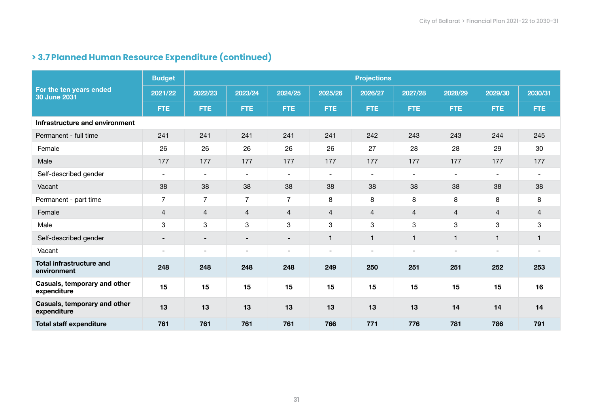|                                                | <b>Budget</b>            |                          |                           |                          |                          | <b>Projections</b>       |                          |                         |                          |                          |
|------------------------------------------------|--------------------------|--------------------------|---------------------------|--------------------------|--------------------------|--------------------------|--------------------------|-------------------------|--------------------------|--------------------------|
| For the ten years ended<br><b>30 June 2031</b> | 2021/22                  | 2022/23                  | 2023/24                   | 2024/25                  | 2025/26                  | 2026/27                  | 2027/28                  | 2028/29                 | 2029/30                  | 2030/31                  |
|                                                | <b>FTE</b>               | <b>FTE</b>               | <b>FTE</b>                | FTE:                     | <b>FTE</b>               | <b>FTE</b>               | <b>FTE</b>               | <b>FTE</b>              | <b>FTE</b>               | <b>FTE</b>               |
| Infrastructure and environment                 |                          |                          |                           |                          |                          |                          |                          |                         |                          |                          |
| Permanent - full time                          | 241                      | 241                      | 241                       | 241                      | 241                      | 242                      | 243                      | 243                     | 244                      | 245                      |
| Female                                         | 26                       | 26                       | 26                        | 26                       | 26                       | 27                       | 28                       | 28                      | 29                       | 30                       |
| Male                                           | 177                      | 177                      | 177                       | 177                      | 177                      | 177                      | 177                      | 177                     | 177                      | 177                      |
| Self-described gender                          | $\overline{\phantom{a}}$ | $\overline{\phantom{a}}$ | $\overline{\phantom{a}}$  | $\overline{\phantom{a}}$ | $\overline{\phantom{a}}$ | $\overline{\phantom{a}}$ | $\overline{\phantom{a}}$ |                         | $\overline{\phantom{a}}$ | $\overline{\phantom{a}}$ |
| Vacant                                         | 38                       | 38                       | 38                        | 38                       | 38                       | 38                       | 38                       | 38                      | 38                       | 38                       |
| Permanent - part time                          | $\overline{7}$           | $\overline{7}$           | $\overline{7}$            | $\overline{7}$           | 8                        | 8                        | 8                        | 8                       | 8                        | 8                        |
| Female                                         | $\overline{4}$           | $\overline{4}$           | $\overline{4}$            | 4                        | 4                        | 4                        | $\overline{4}$           | 4                       | $\overline{4}$           | $\overline{4}$           |
| Male                                           | 3                        | 3                        | $\ensuremath{\mathsf{3}}$ | 3                        | 3                        | 3                        | 3                        | 3                       | 3                        | 3                        |
| Self-described gender                          | $\overline{\phantom{a}}$ | $\overline{\phantom{a}}$ | $\overline{\phantom{a}}$  | $\overline{\phantom{a}}$ | $\mathbf{1}$             | $\mathbf{1}$             | $\mathbf{1}$             | $\overline{\mathbf{1}}$ | $\overline{1}$           | 1                        |
| Vacant                                         | $\overline{\phantom{a}}$ | $\blacksquare$           | $\overline{\phantom{a}}$  | $\overline{\phantom{0}}$ | $\overline{\phantom{a}}$ | $\overline{\phantom{a}}$ | $\blacksquare$           |                         | $\blacksquare$           | $\overline{\phantom{a}}$ |
| <b>Total infrastructure and</b><br>environment | 248                      | 248                      | 248                       | 248                      | 249                      | 250                      | 251                      | 251                     | 252                      | 253                      |
| Casuals, temporary and other<br>expenditure    | 15                       | 15                       | 15                        | 15                       | 15                       | 15                       | 15                       | 15                      | 15                       | 16                       |
| Casuals, temporary and other<br>expenditure    | 13                       | 13                       | 13                        | 13                       | 13                       | 13                       | 13                       | 14                      | 14                       | 14                       |
| <b>Total staff expenditure</b>                 | 761                      | 761                      | 761                       | 761                      | 766                      | 771                      | 776                      | 781                     | 786                      | 791                      |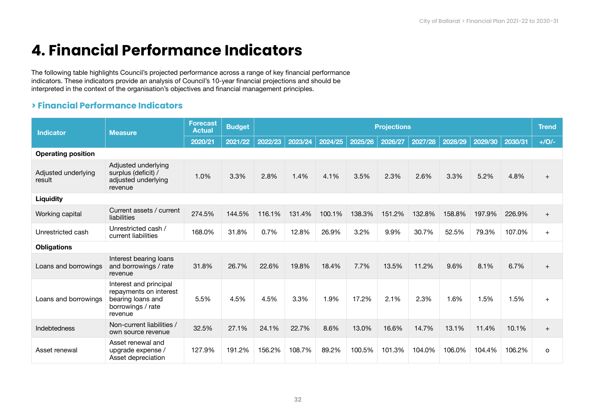# **4. Financial Performance Indicators**

The following table highlights Council's projected performance across a range of key financial performance indicators. These indicators provide an analysis of Council's 10-year financial projections and should be interpreted in the context of the organisation's objectives and financial management principles.

# **> Financial Performance Indicators**

| <b>Indicator</b>              | <b>Measure</b>                                                                                        | <b>Forecast</b><br><b>Actual</b> | <b>Budget</b> |         |         |         |         | <b>Projections</b> |         |         |         |         | <b>Trend</b> |
|-------------------------------|-------------------------------------------------------------------------------------------------------|----------------------------------|---------------|---------|---------|---------|---------|--------------------|---------|---------|---------|---------|--------------|
|                               |                                                                                                       | 2020/21                          | 2021/22       | 2022/23 | 2023/24 | 2024/25 | 2025/26 | 2026/27            | 2027/28 | 2028/29 | 2029/30 | 2030/31 | $+/O/-$      |
| <b>Operating position</b>     |                                                                                                       |                                  |               |         |         |         |         |                    |         |         |         |         |              |
| Adjusted underlying<br>result | Adjusted underlying<br>surplus (deficit) /<br>adjusted underlying<br>revenue                          | 1.0%                             | 3.3%          | 2.8%    | 1.4%    | 4.1%    | 3.5%    | 2.3%               | 2.6%    | 3.3%    | 5.2%    | 4.8%    | $\ddot{}$    |
| Liquidity                     |                                                                                                       |                                  |               |         |         |         |         |                    |         |         |         |         |              |
| Working capital               | Current assets / current<br>liabilities                                                               | 274.5%                           | 144.5%        | 116.1%  | 131.4%  | 100.1%  | 138.3%  | 151.2%             | 132.8%  | 158.8%  | 197.9%  | 226.9%  | $+$          |
| Unrestricted cash             | Unrestricted cash /<br>current liabilities                                                            | 168.0%                           | 31.8%         | 0.7%    | 12.8%   | 26.9%   | 3.2%    | 9.9%               | 30.7%   | 52.5%   | 79.3%   | 107.0%  | $+$          |
| <b>Obligations</b>            |                                                                                                       |                                  |               |         |         |         |         |                    |         |         |         |         |              |
| Loans and borrowings          | Interest bearing loans<br>and borrowings / rate<br>revenue                                            | 31.8%                            | 26.7%         | 22.6%   | 19.8%   | 18.4%   | 7.7%    | 13.5%              | 11.2%   | 9.6%    | 8.1%    | 6.7%    | $+$          |
| Loans and borrowings          | Interest and principal<br>repayments on interest<br>bearing loans and<br>borrowings / rate<br>revenue | 5.5%                             | 4.5%          | 4.5%    | 3.3%    | 1.9%    | 17.2%   | 2.1%               | 2.3%    | 1.6%    | 1.5%    | 1.5%    | $+$          |
| Indebtedness                  | Non-current liabilities /<br>own source revenue                                                       | 32.5%                            | 27.1%         | 24.1%   | 22.7%   | 8.6%    | 13.0%   | 16.6%              | 14.7%   | 13.1%   | 11.4%   | 10.1%   | $+$          |
| Asset renewal                 | Asset renewal and<br>upgrade expense /<br>Asset depreciation                                          | 127.9%                           | 191.2%        | 156.2%  | 108.7%  | 89.2%   | 100.5%  | 101.3%             | 104.0%  | 106.0%  | 104.4%  | 106.2%  | $\circ$      |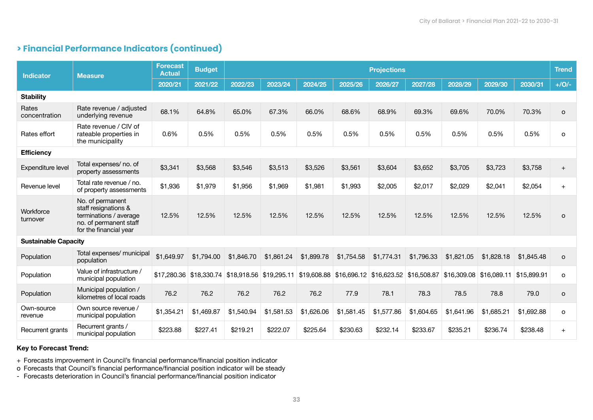# **> Financial Performance Indicators (continued)**

| <b>Indicator</b>            | <b>Measure</b>                                                                                                         | <b>Forecast</b><br><b>Actual</b> | <b>Budget</b> |            |            |            |            | <b>Projections</b>                                                                              |            |                         |            |             | <b>Trend</b> |
|-----------------------------|------------------------------------------------------------------------------------------------------------------------|----------------------------------|---------------|------------|------------|------------|------------|-------------------------------------------------------------------------------------------------|------------|-------------------------|------------|-------------|--------------|
|                             |                                                                                                                        | 2020/21                          | 2021/22       | 2022/23    | 2023/24    | 2024/25    | 2025/26    | 2026/27                                                                                         | 2027/28    | 2028/29                 | 2029/30    | 2030/31     | $+/O/-$      |
| <b>Stability</b>            |                                                                                                                        |                                  |               |            |            |            |            |                                                                                                 |            |                         |            |             |              |
| Rates<br>concentration      | Rate revenue / adjusted<br>underlying revenue                                                                          | 68.1%                            | 64.8%         | 65.0%      | 67.3%      | 66.0%      | 68.6%      | 68.9%                                                                                           | 69.3%      | 69.6%                   | 70.0%      | 70.3%       | $\circ$      |
| Rates effort                | Rate revenue / CIV of<br>rateable properties in<br>the municipality                                                    | 0.6%                             | 0.5%          | 0.5%       | 0.5%       | 0.5%       | 0.5%       | 0.5%                                                                                            | 0.5%       | 0.5%                    | 0.5%       | 0.5%        | o            |
| <b>Efficiency</b>           |                                                                                                                        |                                  |               |            |            |            |            |                                                                                                 |            |                         |            |             |              |
| Expenditure level           | Total expenses/ no. of<br>property assessments                                                                         | \$3,341                          | \$3,568       | \$3,546    | \$3,513    | \$3,526    | \$3,561    | \$3,604                                                                                         | \$3,652    | \$3,705                 | \$3,723    | \$3,758     | $+$          |
| Revenue level               | Total rate revenue / no.<br>of property assessments                                                                    | \$1,936                          | \$1,979       | \$1,956    | \$1,969    | \$1,981    | \$1,993    | \$2,005                                                                                         | \$2,017    | \$2,029                 | \$2,041    | \$2,054     | $+$          |
| Workforce<br>turnover       | No. of permanent<br>staff resignations &<br>terminations / average<br>no. of permanent staff<br>for the financial year | 12.5%                            | 12.5%         | 12.5%      | 12.5%      | 12.5%      | 12.5%      | 12.5%                                                                                           | 12.5%      | 12.5%                   | 12.5%      | 12.5%       | $\circ$      |
| <b>Sustainable Capacity</b> |                                                                                                                        |                                  |               |            |            |            |            |                                                                                                 |            |                         |            |             |              |
| Population                  | Total expenses/ municipal<br>population                                                                                | \$1,649.97                       | \$1,794.00    | \$1,846.70 | \$1,861.24 | \$1,899.78 | \$1,754.58 | \$1,774.31                                                                                      | \$1,796.33 | \$1,821.05              | \$1,828.18 | \$1,845.48  | $\circ$      |
| Population                  | Value of infrastructure /<br>municipal population                                                                      |                                  |               |            |            |            |            | \$17,280.36 \$18,330.74 \$18,918.56 \$19,295.11 \$19,608.88 \$16,696.12 \$16,623.52 \$16,508.87 |            | \$16,309.08 \$16,089.11 |            | \$15,899.91 | $\circ$      |
| Population                  | Municipal population /<br>kilometres of local roads                                                                    | 76.2                             | 76.2          | 76.2       | 76.2       | 76.2       | 77.9       | 78.1                                                                                            | 78.3       | 78.5                    | 78.8       | 79.0        | o            |
| Own-source<br>revenue       | Own source revenue /<br>municipal population                                                                           | \$1,354.21                       | \$1,469.87    | \$1,540.94 | \$1,581.53 | \$1,626.06 | \$1,581.45 | \$1,577.86                                                                                      | \$1,604.65 | \$1,641.96              | \$1,685.21 | \$1,692.88  | $\circ$      |
| Recurrent grants            | Recurrent grants /<br>municipal population                                                                             | \$223.88                         | \$227.41      | \$219.21   | \$222.07   | \$225.64   | \$230.63   | \$232.14                                                                                        | \$233.67   | \$235.21                | \$236.74   | \$238.48    | $+$          |

### Key to Forecast Trend:

+ Forecasts improvement in Council's financial performance/financial position indicator

o Forecasts that Council's financial performance/financial position indicator will be steady

- Forecasts deterioration in Council's financial performance/financial position indicator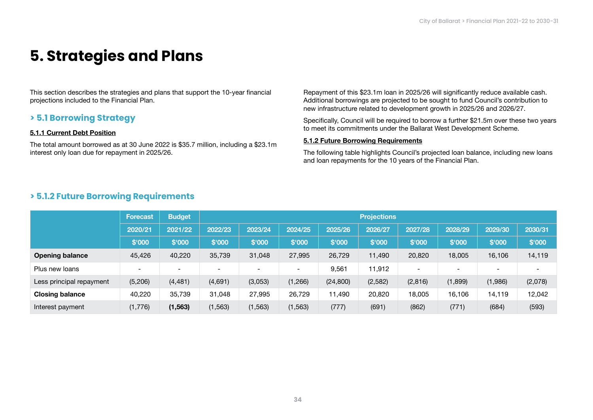# **5. Strategies and Plans**

This section describes the strategies and plans that support the 10-year financial projections included to the Financial Plan.

# **> 5.1 Borrowing Strategy**

### 5.1.1 Current Debt Position

The total amount borrowed as at 30 June 2022 is \$35.7 million, including a \$23.1m interest only loan due for repayment in 2025/26.

Repayment of this \$23.1m loan in 2025/26 will significantly reduce available cash. Additional borrowings are projected to be sought to fund Council's contribution to new infrastructure related to development growth in 2025/26 and 2026/27.

Specifically, Council will be required to borrow a further \$21.5m over these two years to meet its commitments under the Ballarat West Development Scheme.

#### 5.1.2 Future Borrowing Requirements

The following table highlights Council's projected loan balance, including new loans and loan repayments for the 10 years of the Financial Plan.

# **> 5.1.2 Future Borrowing Requirements**

|                          | Forecast                 | <b>Budget</b>            | <b>Projections</b>       |          |          |           |         |                              |         |                              |                          |  |  |  |
|--------------------------|--------------------------|--------------------------|--------------------------|----------|----------|-----------|---------|------------------------------|---------|------------------------------|--------------------------|--|--|--|
|                          | 2020/21                  | 2021/22                  | 2022/23                  | 2023/24  | 2024/25  | 2025/26   | 2026/27 | 2027/28                      | 2028/29 | 2029/30                      | 2030/31                  |  |  |  |
|                          | \$'000                   | \$'000                   | \$'000                   | \$'000   | \$'000   | \$'000    | \$'000  | \$'000                       | \$'000  | \$'000                       | \$'000                   |  |  |  |
| <b>Opening balance</b>   | 45,426                   | 40,220                   | 35,739                   | 31,048   | 27,995   | 26,729    | 11,490  | 20,820                       | 18,005  | 16,106                       | 14,119                   |  |  |  |
| Plus new loans           | $\overline{\phantom{0}}$ | $\overline{\phantom{0}}$ | $\overline{\phantom{a}}$ | $\,$     | $\,$     | 9,561     | 11,912  | $\qquad \qquad \blacksquare$ |         | $\qquad \qquad \blacksquare$ | $\overline{\phantom{0}}$ |  |  |  |
| Less principal repayment | (5,206)                  | (4, 481)                 | (4,691)                  | (3,053)  | (1,266)  | (24, 800) | (2,582) | (2,816)                      | (1,899) | (1,986)                      | (2,078)                  |  |  |  |
| <b>Closing balance</b>   | 40,220                   | 35,739                   | 31.048                   | 27,995   | 26,729   | 11,490    | 20,820  | 18,005                       | 16,106  | 14,119                       | 12,042                   |  |  |  |
| Interest payment         | (1,776)                  | (1, 563)                 | (1, 563)                 | (1, 563) | (1, 563) | (777)     | (691)   | (862)                        | (771)   | (684)                        | (593)                    |  |  |  |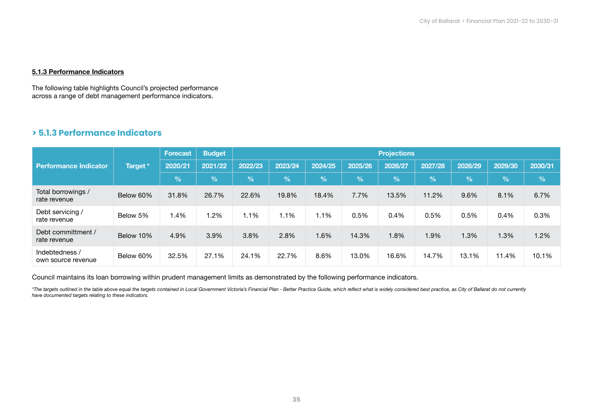### 5.1.3 Performance Indicators

The following table highlights Council's projected performance across a range of debt management performance indicators.

# **> 5.1.3 Performance Indicators**

|                                      | Target *  | <b>Forecast</b> | <b>Budget</b> | <b>Projections</b> |         |         |            |         |            |               |         |            |  |
|--------------------------------------|-----------|-----------------|---------------|--------------------|---------|---------|------------|---------|------------|---------------|---------|------------|--|
| <b>Performance Indicator</b>         |           | 2020/21         | 2021/22       | 2022/23            | 2023/24 | 2024/25 | 2025/26    | 2026/27 | 2027/28    | 2028/29       | 2029/30 | 2030/31    |  |
|                                      |           | $\%$            | $\frac{9}{6}$ | $\frac{9}{6}$      | $\%$    | %       | $\sqrt{2}$ | %       | $\sqrt{2}$ | $\frac{9}{6}$ | %       | $\sqrt{2}$ |  |
| Total borrowings /<br>rate revenue   | Below 60% | 31.8%           | 26.7%         | 22.6%              | 19.8%   | 18.4%   | 7.7%       | 13.5%   | 11.2%      | 9.6%          | 8.1%    | 6.7%       |  |
| Debt servicing /<br>rate revenue     | Below 5%  | 1.4%            | 1.2%          | 1.1%               | 1.1%    | 1.1%    | 0.5%       | 0.4%    | 0.5%       | 0.5%          | 0.4%    | 0.3%       |  |
| Debt committment /<br>rate revenue   | Below 10% | 4.9%            | 3.9%          | 3.8%               | 2.8%    | 1.6%    | 14.3%      | 1.8%    | 1.9%       | 1.3%          | 1.3%    | 1.2%       |  |
| Indebtedness /<br>own source revenue | Below 60% | 32.5%           | 27.1%         | 24.1%              | 22.7%   | 8.6%    | 13.0%      | 16.6%   | 14.7%      | 13.1%         | 11.4%   | 10.1%      |  |

Council maintains its loan borrowing within prudent management limits as demonstrated by the following performance indicators.

\*The targets outlined in the table above equal the targets contained in Local Government Victoria's Financial Plan - Better Practice Guide, which reflect what is widely considered best practice, as City of Ballarat do not *have documented targets relating to these indicators.*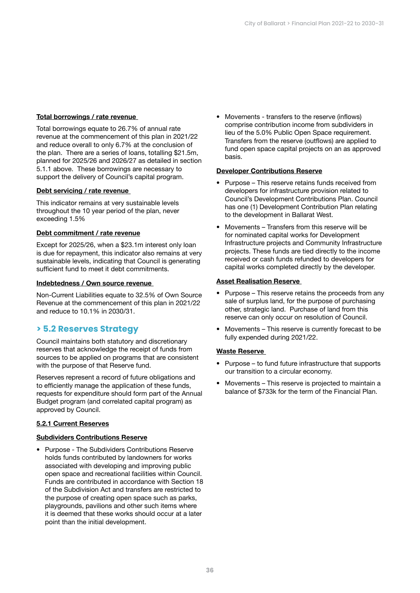### Total borrowings / rate revenue

Total borrowings equate to 26.7% of annual rate revenue at the commencement of this plan in 2021/22 and reduce overall to only 6.7% at the conclusion of the plan. There are a series of loans, totalling \$21.5m, planned for 2025/26 and 2026/27 as detailed in section 5.1.1 above. These borrowings are necessary to support the delivery of Council's capital program.

#### Debt servicing / rate revenue

This indicator remains at very sustainable levels throughout the 10 year period of the plan, never exceeding 1.5%

#### Debt commitment / rate revenue

Except for 2025/26, when a \$23.1m interest only loan is due for repayment, this indicator also remains at very sustainable levels, indicating that Council is generating sufficient fund to meet it debt commitments.

#### Indebtedness / Own source revenue

Non-Current Liabilities equate to 32.5% of Own Source Revenue at the commencement of this plan in 2021/22 and reduce to 10.1% in 2030/31.

## **> 5.2 Reserves Strategy**

Council maintains both statutory and discretionary reserves that acknowledge the receipt of funds from sources to be applied on programs that are consistent with the purpose of that Reserve fund.

Reserves represent a record of future obligations and to efficiently manage the application of these funds, requests for expenditure should form part of the Annual Budget program (and correlated capital program) as approved by Council.

### 5.2.1 Current Reserves

#### Subdividers Contributions Reserve

• Purpose - The Subdividers Contributions Reserve holds funds contributed by landowners for works associated with developing and improving public open space and recreational facilities within Council. Funds are contributed in accordance with Section 18 of the Subdivision Act and transfers are restricted to the purpose of creating open space such as parks, playgrounds, pavilions and other such items where it is deemed that these works should occur at a later point than the initial development.

• Movements - transfers to the reserve (inflows) comprise contribution income from subdividers in lieu of the 5.0% Public Open Space requirement. Transfers from the reserve (outflows) are applied to fund open space capital projects on an as approved basis.

#### Developer Contributions Reserve

- Purpose This reserve retains funds received from developers for infrastructure provision related to Council's Development Contributions Plan. Council has one (1) Development Contribution Plan relating to the development in Ballarat West.
- Movements Transfers from this reserve will be for nominated capital works for Development Infrastructure projects and Community Infrastructure projects. These funds are tied directly to the income received or cash funds refunded to developers for capital works completed directly by the developer.

#### **Asset Realisation Reserve**

- Purpose This reserve retains the proceeds from any sale of surplus land, for the purpose of purchasing other, strategic land. Purchase of land from this reserve can only occur on resolution of Council.
- Movements This reserve is currently forecast to be fully expended during 2021/22.

#### Waste Reserve

- Purpose to fund future infrastructure that supports our transition to a circular economy.
- Movements This reserve is projected to maintain a balance of \$733k for the term of the Financial Plan.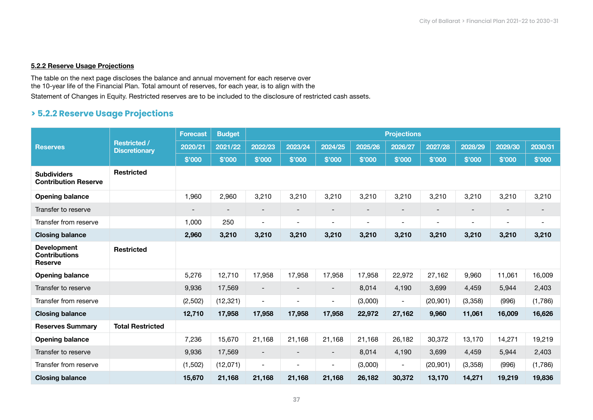### 5.2.2 Reserve Usage Projections

The table on the next page discloses the balance and annual movement for each reserve over the 10-year life of the Financial Plan. Total amount of reserves, for each year, is to align with the Statement of Changes in Equity. Restricted reserves are to be included to the disclosure of restricted cash assets.

# **> 5.2.2 Reserve Usage Projections**

| <b>Reserves</b>                                              | <b>Restricted /</b><br><b>Discretionary</b> | <b>Forecast</b> | <b>Budget</b><br><b>Projections</b> |                          |                          |                          |                          |                              |                          |                          |                          |                              |  |
|--------------------------------------------------------------|---------------------------------------------|-----------------|-------------------------------------|--------------------------|--------------------------|--------------------------|--------------------------|------------------------------|--------------------------|--------------------------|--------------------------|------------------------------|--|
|                                                              |                                             | 2020/21         | 2021/22                             | 2022/23                  | 2023/24                  | 2024/25                  | 2025/26                  | 2026/27                      | 2027/28                  | 2028/29                  | 2029/30                  | 2030/31                      |  |
|                                                              |                                             | \$'000          | \$'000                              | \$'000                   | \$'000                   | \$'000                   | \$'000                   | \$'000                       | \$'000                   | \$'000                   | \$'000                   | \$'000                       |  |
| <b>Subdividers</b><br><b>Contribution Reserve</b>            | <b>Restricted</b>                           |                 |                                     |                          |                          |                          |                          |                              |                          |                          |                          |                              |  |
| <b>Opening balance</b>                                       |                                             | 1,960           | 2,960                               | 3,210                    | 3,210                    | 3,210                    | 3,210                    | 3,210                        | 3,210                    | 3,210                    | 3,210                    | 3,210                        |  |
| Transfer to reserve                                          |                                             |                 |                                     |                          |                          |                          |                          | $\qquad \qquad \blacksquare$ |                          |                          |                          |                              |  |
| Transfer from reserve                                        |                                             | 1,000           | 250                                 | $\overline{\phantom{a}}$ | $\overline{\phantom{a}}$ | $\overline{\phantom{a}}$ | $\overline{\phantom{a}}$ | $\overline{\phantom{0}}$     | $\overline{\phantom{a}}$ | $\overline{\phantom{0}}$ | $\overline{\phantom{a}}$ | $\qquad \qquad \blacksquare$ |  |
| <b>Closing balance</b>                                       |                                             | 2,960           | 3,210                               | 3,210                    | 3,210                    | 3,210                    | 3,210                    | 3,210                        | 3,210                    | 3,210                    | 3,210                    | 3,210                        |  |
| <b>Development</b><br><b>Contributions</b><br><b>Reserve</b> | <b>Restricted</b>                           |                 |                                     |                          |                          |                          |                          |                              |                          |                          |                          |                              |  |
| <b>Opening balance</b>                                       |                                             | 5,276           | 12,710                              | 17,958                   | 17,958                   | 17,958                   | 17,958                   | 22,972                       | 27,162                   | 9,960                    | 11,061                   | 16,009                       |  |
| Transfer to reserve                                          |                                             | 9,936           | 17,569                              | $\overline{\phantom{a}}$ |                          | $\overline{\phantom{a}}$ | 8,014                    | 4,190                        | 3,699                    | 4,459                    | 5,944                    | 2,403                        |  |
| Transfer from reserve                                        |                                             | (2,502)         | (12, 321)                           | $\overline{\phantom{a}}$ | $\blacksquare$           | $\overline{\phantom{a}}$ | (3,000)                  | $\overline{\phantom{0}}$     | (20, 901)                | (3,358)                  | (996)                    | (1,786)                      |  |
| <b>Closing balance</b>                                       |                                             | 12,710          | 17,958                              | 17,958                   | 17,958                   | 17,958                   | 22,972                   | 27,162                       | 9,960                    | 11,061                   | 16,009                   | 16,626                       |  |
| <b>Reserves Summary</b>                                      | <b>Total Restricted</b>                     |                 |                                     |                          |                          |                          |                          |                              |                          |                          |                          |                              |  |
| <b>Opening balance</b>                                       |                                             | 7,236           | 15,670                              | 21,168                   | 21,168                   | 21,168                   | 21,168                   | 26,182                       | 30,372                   | 13,170                   | 14,271                   | 19,219                       |  |
| Transfer to reserve                                          |                                             | 9,936           | 17,569                              | $\overline{\phantom{a}}$ |                          | $\overline{\phantom{a}}$ | 8,014                    | 4,190                        | 3,699                    | 4,459                    | 5,944                    | 2,403                        |  |
| Transfer from reserve                                        |                                             | (1,502)         | (12,071)                            | $\overline{\phantom{a}}$ | $\overline{\phantom{0}}$ | $\overline{\phantom{a}}$ | (3,000)                  | $\blacksquare$               | (20, 901)                | (3,358)                  | (996)                    | (1,786)                      |  |
| <b>Closing balance</b>                                       |                                             | 15,670          | 21,168                              | 21,168                   | 21,168                   | 21,168                   | 26,182                   | 30,372                       | 13,170                   | 14,271                   | 19,219                   | 19,836                       |  |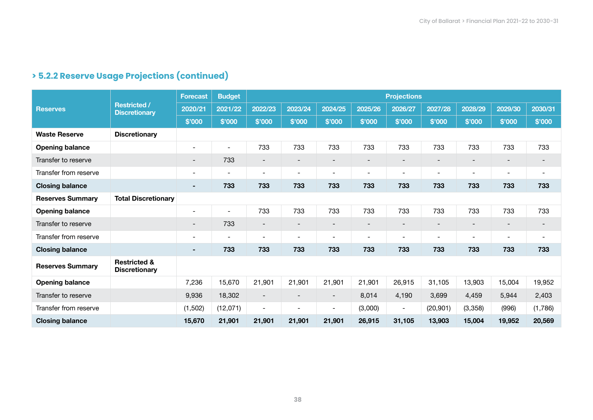| <b>Reserves</b>         |                                                 | <b>Forecast</b>              | <b>Budget</b>            |                          |                              |                          |                          | <b>Projections</b>       |                              |                          |                          |                          |
|-------------------------|-------------------------------------------------|------------------------------|--------------------------|--------------------------|------------------------------|--------------------------|--------------------------|--------------------------|------------------------------|--------------------------|--------------------------|--------------------------|
|                         | <b>Restricted /</b><br><b>Discretionary</b>     | 2020/21                      | 2021/22                  | 2022/23                  | 2023/24                      | 2024/25                  | 2025/26                  | 2026/27                  | 2027/28                      | 2028/29                  | 2029/30                  | 2030/31                  |
|                         |                                                 | \$'000                       | \$'000                   | \$'000                   | \$'000                       | \$'000                   | \$'000                   | \$'000                   | \$'000                       | \$'000                   | \$'000                   | \$'000                   |
| <b>Waste Reserve</b>    | <b>Discretionary</b>                            |                              |                          |                          |                              |                          |                          |                          |                              |                          |                          |                          |
| <b>Opening balance</b>  |                                                 | $\overline{\phantom{a}}$     |                          | 733                      | 733                          | 733                      | 733                      | 733                      | 733                          | 733                      | 733                      | 733                      |
| Transfer to reserve     |                                                 | $\overline{\phantom{a}}$     | 733                      | $\overline{\phantom{a}}$ | $\overline{\phantom{a}}$     | $\overline{\phantom{a}}$ | $\overline{\phantom{a}}$ | $\overline{\phantom{a}}$ | $\overline{\phantom{a}}$     | $\overline{\phantom{a}}$ | $\overline{\phantom{a}}$ | $\overline{\phantom{a}}$ |
| Transfer from reserve   |                                                 | $\blacksquare$               | $\overline{\phantom{a}}$ | $\overline{\phantom{a}}$ | $\overline{\phantom{a}}$     | $\overline{\phantom{a}}$ | $\overline{\phantom{a}}$ | $\overline{\phantom{a}}$ | $\overline{\phantom{a}}$     | $\overline{\phantom{a}}$ | $\blacksquare$           | $\overline{\phantom{a}}$ |
| <b>Closing balance</b>  |                                                 |                              | 733                      | 733                      | 733                          | 733                      | 733                      | 733                      | 733                          | 733                      | 733                      | 733                      |
| <b>Reserves Summary</b> | <b>Total Discretionary</b>                      |                              |                          |                          |                              |                          |                          |                          |                              |                          |                          |                          |
| <b>Opening balance</b>  |                                                 | $\overline{\phantom{a}}$     |                          | 733                      | 733                          | 733                      | 733                      | 733                      | 733                          | 733                      | 733                      | 733                      |
| Transfer to reserve     |                                                 | $\overline{\phantom{a}}$     | 733                      | $\overline{\phantom{a}}$ | $\qquad \qquad$              | $\overline{\phantom{a}}$ | $\overline{\phantom{a}}$ | $\overline{\phantom{a}}$ | $\qquad \qquad$              | $\overline{\phantom{a}}$ | $\qquad \qquad$          | $\qquad \qquad$          |
| Transfer from reserve   |                                                 | $\qquad \qquad \blacksquare$ |                          | $\overline{\phantom{a}}$ | $\qquad \qquad \blacksquare$ | $\overline{\phantom{a}}$ | $\overline{\phantom{a}}$ | $\overline{\phantom{a}}$ | $\qquad \qquad \blacksquare$ | $\overline{\phantom{a}}$ | $\overline{\phantom{a}}$ | $\overline{\phantom{a}}$ |
| <b>Closing balance</b>  |                                                 | ۰.                           | 733                      | 733                      | 733                          | 733                      | 733                      | 733                      | 733                          | 733                      | 733                      | 733                      |
| <b>Reserves Summary</b> | <b>Restricted &amp;</b><br><b>Discretionary</b> |                              |                          |                          |                              |                          |                          |                          |                              |                          |                          |                          |
| <b>Opening balance</b>  |                                                 | 7,236                        | 15,670                   | 21,901                   | 21,901                       | 21,901                   | 21,901                   | 26,915                   | 31,105                       | 13,903                   | 15,004                   | 19,952                   |
| Transfer to reserve     |                                                 | 9,936                        | 18,302                   | $\overline{\phantom{a}}$ | $\overline{\phantom{a}}$     | $\overline{\phantom{a}}$ | 8,014                    | 4,190                    | 3,699                        | 4,459                    | 5,944                    | 2,403                    |
| Transfer from reserve   |                                                 | (1,502)                      | (12,071)                 | $\overline{\phantom{a}}$ | $\overline{\phantom{a}}$     | $\overline{\phantom{a}}$ | (3,000)                  | $\overline{\phantom{a}}$ | (20, 901)                    | (3,358)                  | (996)                    | (1,786)                  |
| <b>Closing balance</b>  |                                                 | 15,670                       | 21,901                   | 21,901                   | 21,901                       | 21,901                   | 26,915                   | 31,105                   | 13,903                       | 15,004                   | 19,952                   | 20,569                   |

# **> 5.2.2 Reserve Usage Projections (continued)**